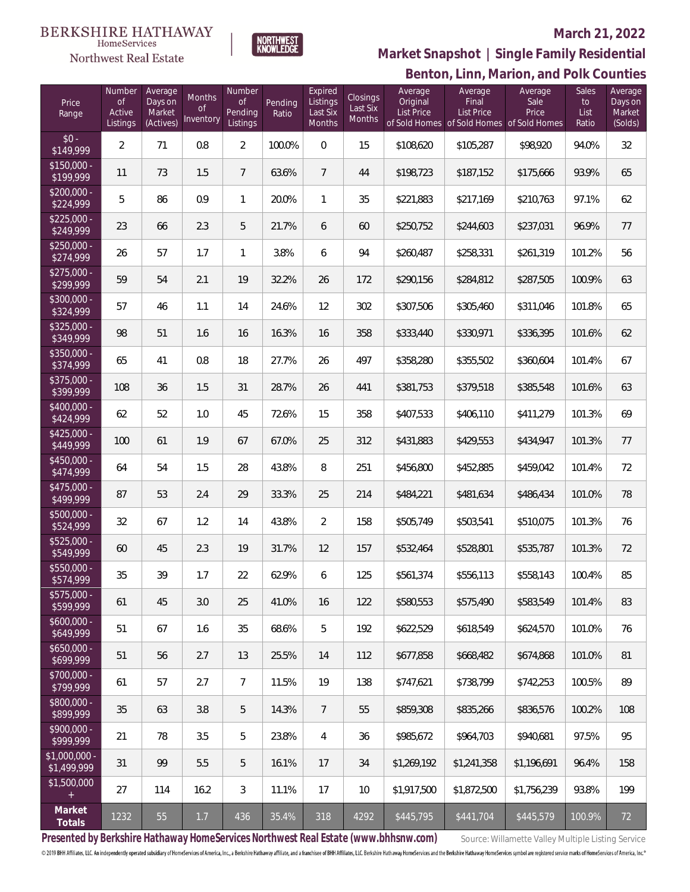

NORTHWEST<br>KNOWLFDGF

### **March 21, 2022**

**Benton, Linn, Marion, and Polk Counties Market Snapshot | Single Family Residential**

| Price<br>Range               | Number<br><b>of</b><br>Active<br>Listings | Average<br>Days on<br>Market<br>(Actives) | <b>Months</b><br><b>of</b><br>Inventory | Number<br><b>of</b><br>Pending<br>Listings | Pending<br>Ratio | Expired<br>Listings<br>Last Six<br><b>Months</b> | Closings<br>Last Six<br>Months | Average<br>Original<br>List Price | Average<br>Final<br><b>List Price</b><br>of Sold Homes of Sold Homes of Sold Homes | Average<br>Sale<br>Price | Sales<br>to<br>List<br>Ratio | Average<br>Days on<br>Market<br>(Solds) |
|------------------------------|-------------------------------------------|-------------------------------------------|-----------------------------------------|--------------------------------------------|------------------|--------------------------------------------------|--------------------------------|-----------------------------------|------------------------------------------------------------------------------------|--------------------------|------------------------------|-----------------------------------------|
| $$0 -$<br>\$149,999          | $\overline{2}$                            | 71                                        | 0.8                                     | $\overline{2}$                             | 100.0%           | $\overline{0}$                                   | 15                             | \$108,620                         | \$105,287                                                                          | \$98,920                 | 94.0%                        | 32                                      |
| $$150,000 -$<br>\$199,999    | 11                                        | 73                                        | 1.5                                     | $7\phantom{.0}$                            | 63.6%            | $\overline{7}$                                   | 44                             | \$198,723                         | \$187,152                                                                          | \$175,666                | 93.9%                        | 65                                      |
| $$200,000 -$<br>\$224,999    | 5                                         | 86                                        | 0.9                                     | $\mathbf{1}$                               | 20.0%            | $\mathbf{1}$                                     | 35                             | \$221,883                         | \$217,169                                                                          | \$210,763                | 97.1%                        | 62                                      |
| $$225,000 -$<br>\$249,999    | 23                                        | 66                                        | 2.3                                     | 5                                          | 21.7%            | 6                                                | 60                             | \$250,752                         | \$244,603                                                                          | \$237,031                | 96.9%                        | 77                                      |
| $$250,000 -$<br>\$274,999    | 26                                        | 57                                        | 1.7                                     | $\mathbf{1}$                               | 3.8%             | 6                                                | 94                             | \$260,487                         | \$258,331                                                                          | \$261,319                | 101.2%                       | 56                                      |
| $$275,000 -$<br>\$299,999    | 59                                        | 54                                        | 2.1                                     | 19                                         | 32.2%            | 26                                               | 172                            | \$290,156                         | \$284,812                                                                          | \$287,505                | 100.9%                       | 63                                      |
| $$300,000 -$<br>\$324,999    | 57                                        | 46                                        | 1.1                                     | 14                                         | 24.6%            | 12                                               | 302                            | \$307,506                         | \$305,460                                                                          | \$311,046                | 101.8%                       | 65                                      |
| $$325,000 -$<br>\$349,999    | 98                                        | 51                                        | 1.6                                     | 16                                         | 16.3%            | 16                                               | 358                            | \$333,440                         | \$330,971                                                                          | \$336,395                | 101.6%                       | 62                                      |
| $$350,000 -$<br>\$374,999    | 65                                        | 41                                        | 0.8                                     | 18                                         | 27.7%            | 26                                               | 497                            | \$358,280                         | \$355,502                                                                          | \$360,604                | 101.4%                       | 67                                      |
| $$375,000 -$<br>\$399,999    | 108                                       | 36                                        | 1.5                                     | 31                                         | 28.7%            | 26                                               | 441                            | \$381,753                         | \$379,518                                                                          | \$385,548                | 101.6%                       | 63                                      |
| $$400,000 -$<br>\$424,999    | 62                                        | 52                                        | 1.0                                     | 45                                         | 72.6%            | 15                                               | 358                            | \$407,533                         | \$406,110                                                                          | \$411,279                | 101.3%                       | 69                                      |
| $$425,000 -$<br>\$449,999    | 100                                       | 61                                        | 1.9                                     | 67                                         | 67.0%            | 25                                               | 312                            | \$431,883                         | \$429,553                                                                          | \$434,947                | 101.3%                       | 77                                      |
| \$450,000 -<br>\$474,999     | 64                                        | 54                                        | 1.5                                     | 28                                         | 43.8%            | 8                                                | 251                            | \$456,800                         | \$452,885                                                                          | \$459,042                | 101.4%                       | 72                                      |
| $$475,000 -$<br>\$499,999    | 87                                        | 53                                        | 2.4                                     | 29                                         | 33.3%            | 25                                               | 214                            | \$484,221                         | \$481,634                                                                          | \$486,434                | 101.0%                       | 78                                      |
| $$500,000 -$<br>\$524,999    | 32                                        | 67                                        | 1.2                                     | 14                                         | 43.8%            | $\overline{2}$                                   | 158                            | \$505,749                         | \$503,541                                                                          | \$510,075                | 101.3%                       | 76                                      |
| \$525,000 -<br>\$549,999     | 60                                        | 45                                        | 2.3                                     | 19                                         | 31.7%            | 12                                               | 157                            | \$532,464                         | \$528,801                                                                          | \$535,787                | 101.3%                       | 72                                      |
| $$550,000 -$<br>\$574,999    | 35                                        | 39                                        | 1.7                                     | 22                                         | 62.9%            | 6                                                | 125                            | \$561,374                         | \$556,113                                                                          | \$558,143                | 100.4%                       | 85                                      |
| \$575,000 -<br>\$599,999     | 61                                        | 45                                        | 3.0                                     | 25                                         | 41.0%            | 16                                               | 122                            | \$580,553                         | \$575,490                                                                          | \$583,549                | 101.4%                       | 83                                      |
| $$600,000 -$<br>\$649,999    | 51                                        | 67                                        | 1.6                                     | 35                                         | 68.6%            | 5                                                | 192                            | \$622,529                         | \$618,549                                                                          | \$624,570                | 101.0%                       | 76                                      |
| $$650,000 -$<br>\$699,999    | 51                                        | 56                                        | 2.7                                     | 13                                         | 25.5%            | 14                                               | 112                            | \$677,858                         | \$668,482                                                                          | \$674,868                | 101.0%                       | 81                                      |
| \$700,000 -<br>\$799,999     | 61                                        | 57                                        | 2.7                                     | $7\overline{ }$                            | 11.5%            | 19                                               | 138                            | \$747,621                         | \$738,799                                                                          | \$742,253                | 100.5%                       | 89                                      |
| \$800,000 -<br>\$899,999     | 35                                        | 63                                        | 3.8                                     | 5                                          | 14.3%            | $7\overline{ }$                                  | 55                             | \$859,308                         | \$835,266                                                                          | \$836,576                | 100.2%                       | 108                                     |
| \$900,000 -<br>\$999,999     | 21                                        | 78                                        | 3.5                                     | 5                                          | 23.8%            | $\overline{4}$                                   | 36                             | \$985,672                         | \$964,703                                                                          | \$940,681                | 97.5%                        | 95                                      |
| \$1,000,000 -<br>\$1,499,999 | 31                                        | 99                                        | 5.5                                     | 5                                          | 16.1%            | 17                                               | 34                             | \$1,269,192                       | \$1,241,358                                                                        | \$1,196,691              | 96.4%                        | 158                                     |
| \$1,500,000<br>$+$           | 27                                        | 114                                       | 16.2                                    | 3                                          | 11.1%            | 17                                               | 10                             | \$1,917,500                       | \$1,872,500                                                                        | \$1,756,239              | 93.8%                        | 199                                     |
| Market<br>Totals             | 1232                                      | 55                                        | 1.7                                     | 436                                        | 35.4%            | 318                                              | 4292                           | \$445,795                         | \$441,704                                                                          | \$445,579                | 100.9%                       | 72                                      |

Presented by Berkshire Hathaway HomeServices Northwest Real Estate (www.bhhsnw.com) source: Willamette Valley Multiple Listing Service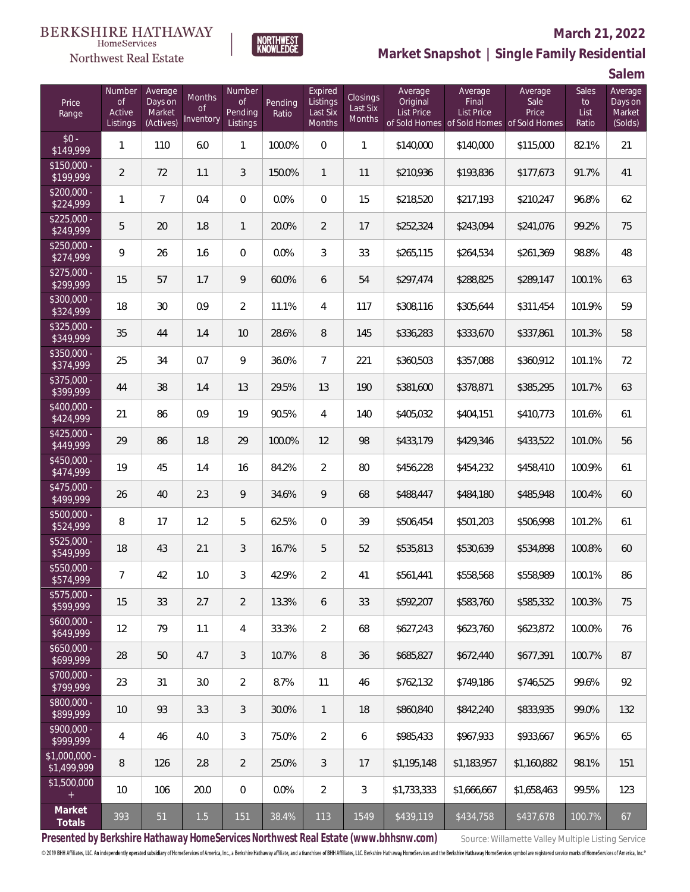

#### **March 21, 2022**

**Market Snapshot | Single Family Residential**

**Salem**

| Price<br>Range                | Number<br><b>of</b><br>Active<br>Listings | Average<br>Days on<br>Market<br>(Actives) | Months<br><b>of</b><br>Inventory | Number<br><b>of</b><br>Pending<br>Listings | Pendina<br>Ratio | Expired<br>Listings<br>Last Six<br>Months | Closings<br>Last Six<br>Months | Average<br>Original<br><b>List Price</b> | Average<br>Final<br><b>List Price</b> | Average<br>Sale<br>Price<br>of Sold Homes of Sold Homes of Sold Homes | Sales<br>to<br>List<br>Ratio | Average<br>Days on<br>Market<br>(Solds) |
|-------------------------------|-------------------------------------------|-------------------------------------------|----------------------------------|--------------------------------------------|------------------|-------------------------------------------|--------------------------------|------------------------------------------|---------------------------------------|-----------------------------------------------------------------------|------------------------------|-----------------------------------------|
| $$0 -$<br>\$149,999           | $\mathbf{1}$                              | 110                                       | 6.0                              | $\mathbf{1}$                               | 100.0%           | $\overline{0}$                            | $\mathbf{1}$                   | \$140,000                                | \$140,000                             | \$115,000                                                             | 82.1%                        | 21                                      |
| $$150,000 -$<br>\$199,999     | $\overline{2}$                            | 72                                        | 1.1                              | 3                                          | 150.0%           | $\mathbf{1}$                              | 11                             | \$210,936                                | \$193,836                             | \$177,673                                                             | 91.7%                        | 41                                      |
| \$200,000 -<br>\$224,999      | 1                                         | $\overline{7}$                            | 0.4                              | $\boldsymbol{0}$                           | 0.0%             | $\overline{0}$                            | 15                             | \$218,520                                | \$217,193                             | \$210,247                                                             | 96.8%                        | 62                                      |
| $$225,000 -$<br>\$249,999     | 5                                         | 20                                        | 1.8                              | $\mathbf{1}$                               | 20.0%            | $\overline{2}$                            | 17                             | \$252,324                                | \$243,094                             | \$241,076                                                             | 99.2%                        | 75                                      |
| $$250,000 -$<br>\$274,999     | 9                                         | 26                                        | 1.6                              | $\mathbf 0$                                | 0.0%             | 3                                         | 33                             | \$265,115                                | \$264,534                             | \$261,369                                                             | 98.8%                        | 48                                      |
| \$275,000 -<br>\$299,999      | 15                                        | 57                                        | 1.7                              | 9                                          | 60.0%            | 6                                         | 54                             | \$297,474                                | \$288,825                             | \$289,147                                                             | 100.1%                       | 63                                      |
| \$300,000 -<br>\$324,999      | 18                                        | 30                                        | 0.9                              | $\overline{2}$                             | 11.1%            | 4                                         | 117                            | \$308,116                                | \$305,644                             | \$311,454                                                             | 101.9%                       | 59                                      |
| $$325,000 -$<br>\$349,999     | 35                                        | 44                                        | 1.4                              | 10                                         | 28.6%            | 8                                         | 145                            | \$336,283                                | \$333,670                             | \$337,861                                                             | 101.3%                       | 58                                      |
| \$350,000 -<br>\$374,999      | 25                                        | 34                                        | 0.7                              | 9                                          | 36.0%            | $\overline{7}$                            | 221                            | \$360,503                                | \$357,088                             | \$360,912                                                             | 101.1%                       | 72                                      |
| \$375,000 -<br>\$399,999      | 44                                        | 38                                        | 1.4                              | 13                                         | 29.5%            | 13                                        | 190                            | \$381,600                                | \$378,871                             | \$385,295                                                             | 101.7%                       | 63                                      |
| $$400.000 -$<br>\$424,999     | 21                                        | 86                                        | 0.9                              | 19                                         | 90.5%            | 4                                         | 140                            | \$405,032                                | \$404,151                             | \$410,773                                                             | 101.6%                       | 61                                      |
| $$425,000 -$<br>\$449,999     | 29                                        | 86                                        | 1.8                              | 29                                         | 100.0%           | 12                                        | 98                             | \$433,179                                | \$429,346                             | \$433,522                                                             | 101.0%                       | 56                                      |
| \$450,000 -<br>\$474,999      | 19                                        | 45                                        | 1.4                              | 16                                         | 84.2%            | $\overline{2}$                            | 80                             | \$456,228                                | \$454,232                             | \$458,410                                                             | 100.9%                       | 61                                      |
| $$475,000 -$<br>\$499,999     | 26                                        | 40                                        | 2.3                              | 9                                          | 34.6%            | 9                                         | 68                             | \$488,447                                | \$484,180                             | \$485,948                                                             | 100.4%                       | 60                                      |
| \$500,000 -<br>\$524,999      | 8                                         | 17                                        | 1.2                              | 5                                          | 62.5%            | $\overline{0}$                            | 39                             | \$506,454                                | \$501,203                             | \$506,998                                                             | 101.2%                       | 61                                      |
| \$525,000 -<br>\$549,999      | 18                                        | 43                                        | 2.1                              | 3                                          | 16.7%            | 5                                         | 52                             | \$535,813                                | \$530,639                             | \$534,898                                                             | 100.8%                       | 60                                      |
| \$550,000 -<br>\$574,999      | $\overline{7}$                            | 42                                        | $1.0\,$                          | 3                                          | 42.9%            | $\overline{2}$                            | 41                             | \$561,441                                | \$558,568                             | \$558,989                                                             | 100.1%                       | 86                                      |
| \$575,000 -<br>\$599,999      | 15                                        | 33                                        | 2.7                              | $\overline{2}$                             | 13.3%            | 6                                         | 33                             | \$592,207                                | \$583,760                             | \$585,332                                                             | 100.3%                       | 75                                      |
| $$600,000 -$<br>\$649,999     | 12                                        | 79                                        | 1.1                              | 4                                          | 33.3%            | $\overline{2}$                            | 68                             | \$627,243                                | \$623,760                             | \$623,872                                                             | 100.0%                       | 76                                      |
| $$650,000 -$<br>\$699,999     | 28                                        | 50                                        | 4.7                              | 3                                          | 10.7%            | 8                                         | 36                             | \$685,827                                | \$672,440                             | \$677,391                                                             | 100.7%                       | 87                                      |
| \$700,000 -<br>\$799,999      | 23                                        | 31                                        | 3.0                              | $\overline{2}$                             | 8.7%             | 11                                        | 46                             | \$762,132                                | \$749,186                             | \$746,525                                                             | 99.6%                        | 92                                      |
| \$800,000 -<br>\$899,999      | 10                                        | 93                                        | 3.3                              | 3                                          | 30.0%            | $\mathbf{1}$                              | 18                             | \$860,840                                | \$842,240                             | \$833,935                                                             | 99.0%                        | 132                                     |
| \$900,000 -<br>\$999,999      | 4                                         | 46                                        | 4.0                              | 3                                          | 75.0%            | $\overline{2}$                            | 6                              | \$985,433                                | \$967,933                             | \$933,667                                                             | 96.5%                        | 65                                      |
| $$1,000,000 -$<br>\$1,499,999 | 8                                         | 126                                       | 2.8                              | $\overline{2}$                             | 25.0%            | 3                                         | 17                             | \$1,195,148                              | \$1,183,957                           | \$1,160,882                                                           | 98.1%                        | 151                                     |
| \$1,500,000<br>$+$            | 10                                        | 106                                       | 20.0                             | $\overline{0}$                             | 0.0%             | $\overline{2}$                            | 3                              | \$1,733,333                              | \$1,666,667                           | \$1,658,463                                                           | 99.5%                        | 123                                     |
| Market<br>Totals              | 393                                       | 51                                        | 1.5                              | 151                                        | 38.4%            | 113                                       | 1549                           | \$439,119                                | \$434,758                             | \$437,678                                                             | 100.7%                       | 67                                      |

NORTHWEST<br>KNOWLFDGF

Presented by Berkshire Hathaway HomeServices Northwest Real Estate (www.bhhsnw.com) source: Willamette Valley Multiple Listing Service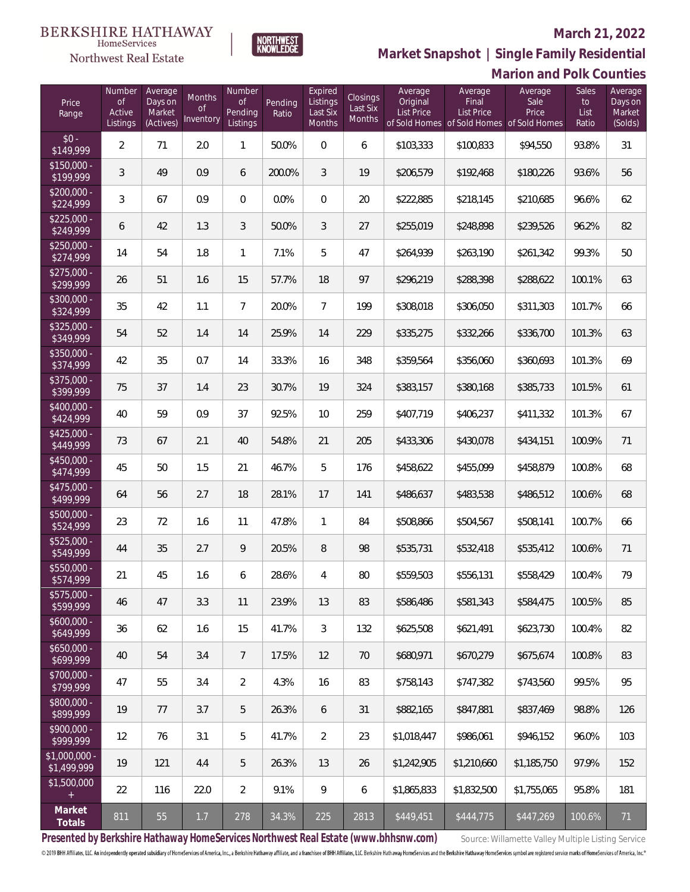#### Northwest Real Estate

#### **March 21, 2022**



**Marion and Polk Counties Market Snapshot | Single Family Residential**

| Price<br>Range               | Number<br><b>of</b><br>Active<br>Listings | Average<br>Days on<br>Market<br>(Actives) | <b>Months</b><br><b>of</b><br>Inventory | Number<br><b>of</b><br>Pending<br>Listings | Pending<br>Ratio | Expired<br>Listings<br>Last Six<br>Months | Closings<br>Last Six<br>Months | Average<br>Original<br><b>List Price</b> | Average<br>Final<br><b>List Price</b><br>of Sold Homes of Sold Homes of Sold Homes | Average<br>Sale<br>Price | <b>Sales</b><br>to<br>List<br>Ratio | Average<br>Days on<br>Market<br>(Solds) |
|------------------------------|-------------------------------------------|-------------------------------------------|-----------------------------------------|--------------------------------------------|------------------|-------------------------------------------|--------------------------------|------------------------------------------|------------------------------------------------------------------------------------|--------------------------|-------------------------------------|-----------------------------------------|
| $$0 -$<br>\$149,999          | $\overline{2}$                            | 71                                        | 2.0                                     | 1                                          | 50.0%            | $\overline{0}$                            | 6                              | \$103,333                                | \$100,833                                                                          | \$94,550                 | 93.8%                               | 31                                      |
| $$150,000 -$<br>\$199,999    | 3                                         | 49                                        | 0.9                                     | 6                                          | 200.0%           | 3                                         | 19                             | \$206,579                                | \$192,468                                                                          | \$180,226                | 93.6%                               | 56                                      |
| $$200,000 -$<br>\$224,999    | 3                                         | 67                                        | 0.9                                     | $\Omega$                                   | 0.0%             | $\overline{0}$                            | 20                             | \$222,885                                | \$218,145                                                                          | \$210,685                | 96.6%                               | 62                                      |
| $$225,000 -$<br>\$249,999    | 6                                         | 42                                        | 1.3                                     | 3                                          | 50.0%            | 3                                         | 27                             | \$255,019                                | \$248,898                                                                          | \$239,526                | 96.2%                               | 82                                      |
| $$250,000 -$<br>\$274,999    | 14                                        | 54                                        | 1.8                                     | $\mathbf{1}$                               | 7.1%             | 5                                         | 47                             | \$264,939                                | \$263,190                                                                          | \$261,342                | 99.3%                               | 50                                      |
| $$275,000 -$<br>\$299,999    | 26                                        | 51                                        | 1.6                                     | 15                                         | 57.7%            | 18                                        | 97                             | \$296,219                                | \$288,398                                                                          | \$288,622                | 100.1%                              | 63                                      |
| $$300,000 -$<br>\$324,999    | 35                                        | 42                                        | 1.1                                     | $\overline{7}$                             | 20.0%            | $7\overline{ }$                           | 199                            | \$308,018                                | \$306,050                                                                          | \$311,303                | 101.7%                              | 66                                      |
| $$325,000 -$<br>\$349,999    | 54                                        | 52                                        | 1.4                                     | 14                                         | 25.9%            | 14                                        | 229                            | \$335,275                                | \$332,266                                                                          | \$336,700                | 101.3%                              | 63                                      |
| $$350,000 -$<br>\$374,999    | 42                                        | 35                                        | 0.7                                     | 14                                         | 33.3%            | 16                                        | 348                            | \$359,564                                | \$356,060                                                                          | \$360,693                | 101.3%                              | 69                                      |
| $$375,000 -$<br>\$399,999    | 75                                        | 37                                        | 1.4                                     | 23                                         | 30.7%            | 19                                        | 324                            | \$383,157                                | \$380,168                                                                          | \$385,733                | 101.5%                              | 61                                      |
| $$400,000 -$<br>\$424,999    | 40                                        | 59                                        | 0.9                                     | 37                                         | 92.5%            | 10                                        | 259                            | \$407,719                                | \$406,237                                                                          | \$411,332                | 101.3%                              | 67                                      |
| $$425,000 -$<br>\$449,999    | 73                                        | 67                                        | 2.1                                     | 40                                         | 54.8%            | 21                                        | 205                            | \$433,306                                | \$430,078                                                                          | \$434,151                | 100.9%                              | 71                                      |
| $$450,000 -$<br>\$474,999    | 45                                        | 50                                        | 1.5                                     | 21                                         | 46.7%            | 5                                         | 176                            | \$458,622                                | \$455,099                                                                          | \$458,879                | 100.8%                              | 68                                      |
| $$475,000 -$<br>\$499,999    | 64                                        | 56                                        | 2.7                                     | 18                                         | 28.1%            | 17                                        | 141                            | \$486,637                                | \$483,538                                                                          | \$486,512                | 100.6%                              | 68                                      |
| $$500,000 -$<br>\$524,999    | 23                                        | 72                                        | 1.6                                     | 11                                         | 47.8%            | $\mathbf{1}$                              | 84                             | \$508,866                                | \$504,567                                                                          | \$508,141                | 100.7%                              | 66                                      |
| \$525,000 -<br>\$549,999     | 44                                        | 35                                        | 2.7                                     | 9                                          | 20.5%            | 8                                         | 98                             | \$535,731                                | \$532,418                                                                          | \$535,412                | 100.6%                              | 71                                      |
| \$550,000 -<br>\$574,999     | 21                                        | 45                                        | 1.6                                     | 6                                          | 28.6%            | $\overline{4}$                            | 80                             | \$559,503                                | \$556,131                                                                          | \$558,429                | 100.4%                              | 79                                      |
| \$575,000 -<br>\$599,999     | 46                                        | 47                                        | 3.3                                     | 11                                         | 23.9%            | 13                                        | 83                             | \$586,486                                | \$581,343                                                                          | \$584,475                | 100.5%                              | 85                                      |
| $$600,000 -$<br>\$649,999    | 36                                        | 62                                        | 1.6                                     | 15                                         | 41.7%            | 3                                         | 132                            | \$625,508                                | \$621,491                                                                          | \$623,730                | 100.4%                              | 82                                      |
| $$650,000 -$<br>\$699,999    | 40                                        | 54                                        | 3.4                                     | $7\phantom{.0}$                            | 17.5%            | 12                                        | 70                             | \$680,971                                | \$670,279                                                                          | \$675,674                | 100.8%                              | 83                                      |
| \$700,000 -<br>\$799,999     | 47                                        | 55                                        | 3.4                                     | $\overline{2}$                             | 4.3%             | 16                                        | 83                             | \$758,143                                | \$747,382                                                                          | \$743,560                | 99.5%                               | 95                                      |
| \$800,000 -<br>\$899,999     | 19                                        | 77                                        | 3.7                                     | 5                                          | 26.3%            | 6                                         | 31                             | \$882,165                                | \$847,881                                                                          | \$837,469                | 98.8%                               | 126                                     |
| \$900,000 -<br>\$999,999     | 12                                        | 76                                        | 3.1                                     | 5                                          | 41.7%            | $\overline{2}$                            | 23                             | \$1,018,447                              | \$986,061                                                                          | \$946,152                | 96.0%                               | 103                                     |
| \$1,000,000 -<br>\$1,499,999 | 19                                        | 121                                       | 4.4                                     | 5                                          | 26.3%            | 13                                        | 26                             | \$1,242,905                              | \$1,210,660                                                                        | \$1,185,750              | 97.9%                               | 152                                     |
| \$1,500,000<br>$\pm$         | 22                                        | 116                                       | 22.0                                    | $\overline{2}$                             | 9.1%             | 9                                         | 6                              | \$1,865,833                              | \$1,832,500                                                                        | \$1,755,065              | 95.8%                               | 181                                     |
| Market<br>Totals             | 811                                       | 55                                        | $1.7$                                   | 278                                        | 34.3%            | 225                                       | 2813                           | \$449,451                                | \$444,775                                                                          | \$447,269                | 100.6%                              | 71                                      |

Presented by Berkshire Hathaway HomeServices Northwest Real Estate (www.bhhsnw.com) source: Willamette Valley Multiple Listing Service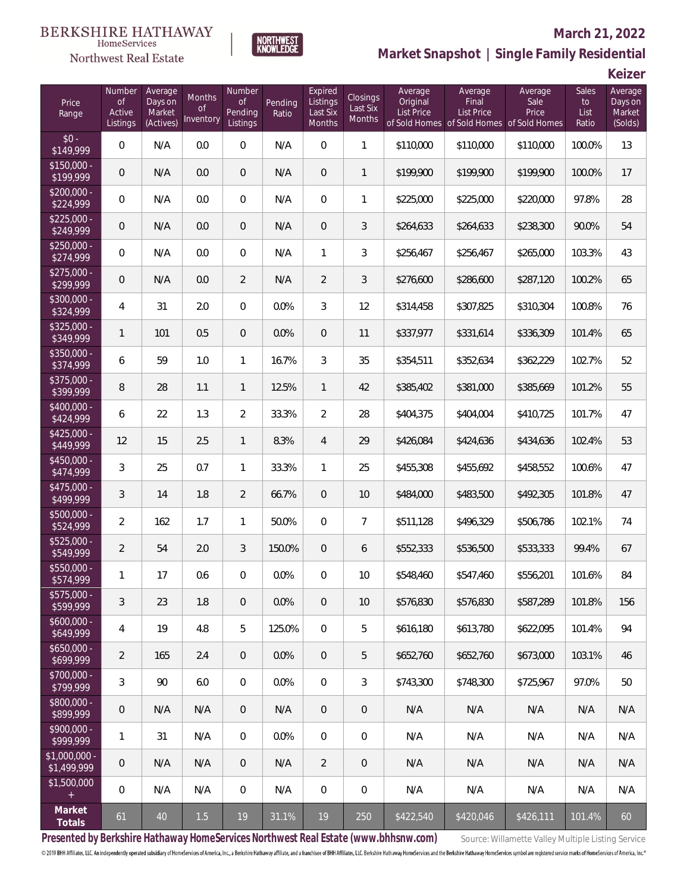

#### **March 21, 2022**

**Market Snapshot | Single Family Residential**

**Keizer**

| Price<br>Range                    | Number<br><b>of</b><br>Active<br>Listings | Average<br>Days on<br>Market<br>(Actives) | Months<br><b>of</b><br>Inventory | Number<br><b>of</b><br>Pending<br>Listings | Pending<br>Ratio | Expired<br>Listings<br>Last Six<br>Months | <b>Closings</b><br>Last Six<br><b>Months</b> | Average<br>Original<br><b>List Price</b> | Average<br>Final<br><b>List Price</b> | Average<br>Sale<br>Price<br>of Sold Homes of Sold Homes of Sold Homes | <b>Sales</b><br>to<br>List<br>Ratio | Average<br>Days on<br>Market<br>(Solds) |
|-----------------------------------|-------------------------------------------|-------------------------------------------|----------------------------------|--------------------------------------------|------------------|-------------------------------------------|----------------------------------------------|------------------------------------------|---------------------------------------|-----------------------------------------------------------------------|-------------------------------------|-----------------------------------------|
| $$0 -$<br>\$149,999               | $\overline{0}$                            | N/A                                       | 0.0                              | $\mathbf 0$                                | N/A              | 0                                         | $\mathbf{1}$                                 | \$110,000                                | \$110,000                             | \$110,000                                                             | 100.0%                              | 13                                      |
| $$150,000 -$<br>\$199,999         | $\overline{0}$                            | N/A                                       | 0.0                              | $\overline{0}$                             | N/A              | $\mathbf{0}$                              | $\mathbf{1}$                                 | \$199,900                                | \$199,900                             | \$199,900                                                             | 100.0%                              | 17                                      |
| \$200,000 -<br>\$224,999          | $\overline{0}$                            | N/A                                       | 0.0                              | $\mathbf 0$                                | N/A              | $\overline{0}$                            | 1                                            | \$225,000                                | \$225,000                             | \$220,000                                                             | 97.8%                               | 28                                      |
| $$225,000 -$<br>\$249,999         | $\overline{0}$                            | N/A                                       | 0.0                              | $\boldsymbol{0}$                           | N/A              | $\boldsymbol{0}$                          | 3                                            | \$264,633                                | \$264,633                             | \$238,300                                                             | 90.0%                               | 54                                      |
| $$250,000 -$<br>$\sqrt{$274,999}$ | $\mathbf 0$                               | N/A                                       | 0.0                              | $\boldsymbol{0}$                           | N/A              | $\mathbf{1}$                              | 3                                            | \$256,467                                | \$256,467                             | \$265,000                                                             | 103.3%                              | 43                                      |
| \$275,000 -<br>\$299,999          | $\mathbf 0$                               | N/A                                       | 0.0                              | $\overline{2}$                             | N/A              | $\overline{2}$                            | 3                                            | \$276,600                                | \$286,600                             | \$287,120                                                             | 100.2%                              | 65                                      |
| \$300,000 -<br>\$324,999          | 4                                         | 31                                        | 2.0                              | $\mathbf 0$                                | 0.0%             | 3                                         | 12                                           | \$314,458                                | \$307,825                             | \$310,304                                                             | 100.8%                              | 76                                      |
| $$325,000 -$<br>\$349,999         | 1                                         | 101                                       | 0.5                              | $\overline{0}$                             | 0.0%             | $\mathbf 0$                               | 11                                           | \$337,977                                | \$331,614                             | \$336,309                                                             | 101.4%                              | 65                                      |
| \$350,000 -<br>\$374,999          | 6                                         | 59                                        | 1.0                              | 1                                          | 16.7%            | 3                                         | 35                                           | \$354,511                                | \$352,634                             | \$362,229                                                             | 102.7%                              | 52                                      |
| \$375,000 -<br>\$399,999          | 8                                         | 28                                        | 1.1                              | $\mathbf{1}$                               | 12.5%            | $\mathbf{1}$                              | 42                                           | \$385,402                                | \$381,000                             | \$385,669                                                             | 101.2%                              | 55                                      |
| $$400.000 -$<br>\$424,999         | 6                                         | 22                                        | 1.3                              | $\overline{2}$                             | 33.3%            | $\overline{2}$                            | 28                                           | \$404,375                                | \$404,004                             | \$410,725                                                             | 101.7%                              | 47                                      |
| $$425,000 -$<br>\$449,999         | 12                                        | 15                                        | 2.5                              | $\mathbf{1}$                               | 8.3%             | $\overline{4}$                            | 29                                           | \$426,084                                | \$424,636                             | \$434,636                                                             | 102.4%                              | 53                                      |
| \$450,000 -<br>\$474,999          | 3                                         | 25                                        | 0.7                              | 1                                          | 33.3%            | $\mathbf{1}$                              | 25                                           | \$455,308                                | \$455,692                             | \$458,552                                                             | 100.6%                              | 47                                      |
| \$475,000 -<br>\$499,999          | 3                                         | 14                                        | 1.8                              | $\overline{2}$                             | 66.7%            | $\boldsymbol{0}$                          | 10                                           | \$484,000                                | \$483,500                             | \$492,305                                                             | 101.8%                              | 47                                      |
| \$500,000 -<br>\$524,999          | $\overline{2}$                            | 162                                       | 1.7                              | 1                                          | 50.0%            | 0                                         | $\overline{7}$                               | \$511,128                                | \$496,329                             | \$506,786                                                             | 102.1%                              | 74                                      |
| \$525,000 -<br>\$549,999          | $\overline{2}$                            | 54                                        | 2.0                              | 3                                          | 150.0%           | $\overline{0}$                            | 6                                            | \$552,333                                | \$536,500                             | \$533,333                                                             | 99.4%                               | 67                                      |
| \$550,000 -<br>\$574,999          | 1                                         | 17                                        | 0.6                              | 0                                          | 0.0%             | 0                                         | 10                                           | \$548,460                                | \$547,460                             | \$556,201                                                             | 101.6%                              | 84                                      |
| $$575,000 -$<br>\$599,999         | 3                                         | 23                                        | 1.8                              | $\overline{0}$                             | 0.0%             | $\mathbf 0$                               | 10                                           | \$576,830                                | \$576,830                             | \$587,289                                                             | 101.8%                              | 156                                     |
| $$600,000 -$<br>\$649,999         | 4                                         | 19                                        | 4.8                              | 5                                          | 125.0%           | $\overline{0}$                            | 5                                            | \$616,180                                | \$613,780                             | \$622,095                                                             | 101.4%                              | 94                                      |
| $$650,000 -$<br>\$699,999         | 2                                         | 165                                       | 2.4                              | $\overline{0}$                             | 0.0%             | $\mathbf 0$                               | 5                                            | \$652,760                                | \$652,760                             | \$673,000                                                             | 103.1%                              | 46                                      |
| \$700,000 -<br>\$799,999          | 3                                         | 90                                        | 6.0                              | $\mathbf 0$                                | 0.0%             | $\mathbf{0}$                              | 3                                            | \$743,300                                | \$748,300                             | \$725,967                                                             | 97.0%                               | 50                                      |
| \$800,000 -<br>\$899,999          | $\theta$                                  | N/A                                       | N/A                              | $\mathbf{0}$                               | N/A              | $\overline{0}$                            | 0                                            | N/A                                      | N/A                                   | N/A                                                                   | N/A                                 | N/A                                     |
| $$900,000 -$<br>\$999,999         | 1                                         | 31                                        | N/A                              | $\mathbf 0$                                | 0.0%             | $\mathbb O$                               | 0                                            | N/A                                      | N/A                                   | N/A                                                                   | N/A                                 | N/A                                     |
| $$1,000,000 -$<br>\$1,499,999     | $\overline{0}$                            | N/A                                       | N/A                              | $\mathbf{0}$                               | N/A              | $\overline{2}$                            | $\mathbf 0$                                  | N/A                                      | N/A                                   | N/A                                                                   | N/A                                 | N/A                                     |
| \$1,500,000<br>$+$                | $\mathbf 0$                               | N/A                                       | N/A                              | $\mathbf{0}$                               | N/A              | 0                                         | 0                                            | N/A                                      | N/A                                   | N/A                                                                   | N/A                                 | N/A                                     |
| Market<br>Totals                  | 61                                        | 40                                        | 1.5                              | 19                                         | 31.1%            | 19                                        | 250                                          | \$422,540                                | \$420,046                             | \$426,111                                                             | 101.4%                              | 60                                      |

NORTHWEST<br>KNOWLFDGF

Presented by Berkshire Hathaway HomeServices Northwest Real Estate (www.bhhsnw.com) source: Willamette Valley Multiple Listing Service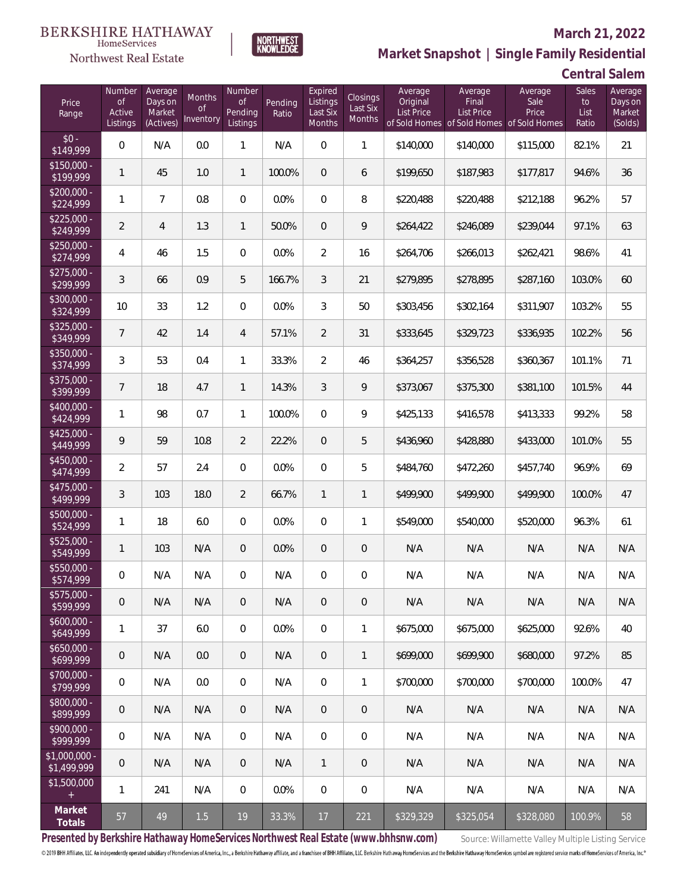

#### **March 21, 2022**

**Market Snapshot | Single Family Residential**

### **Central Salem**

| Price<br>Range               | Number<br><b>of</b><br>Active<br>Listings | Average<br>Days on<br>Market<br>(Actives) | <b>Months</b><br><b>of</b><br>Inventory | Number<br>of<br>Pending<br>Listings | Pending<br>Ratio | Expired<br>Listings<br>Last Six<br>Months | Closings<br>Last Six<br>Months | Average<br>Original<br><b>List Price</b> | Average<br>Final<br><b>List Price</b> | Average<br>Sale<br>Price<br>of Sold Homes of Sold Homes of Sold Homes | Sales<br>to<br>List<br>Ratio | Average<br>Days on<br>Market<br>(Solds) |
|------------------------------|-------------------------------------------|-------------------------------------------|-----------------------------------------|-------------------------------------|------------------|-------------------------------------------|--------------------------------|------------------------------------------|---------------------------------------|-----------------------------------------------------------------------|------------------------------|-----------------------------------------|
| $$0 -$<br>\$149,999          | $\overline{0}$                            | N/A                                       | 0.0                                     | 1                                   | N/A              | $\overline{0}$                            | $\mathbf{1}$                   | \$140,000                                | \$140,000                             | \$115,000                                                             | 82.1%                        | 21                                      |
| $$150,000 -$<br>\$199,999    | $\mathbf{1}$                              | 45                                        | 1.0                                     | $\mathbf{1}$                        | 100.0%           | $\Omega$                                  | 6                              | \$199,650                                | \$187,983                             | \$177,817                                                             | 94.6%                        | 36                                      |
| $$200,000 -$<br>\$224,999    | 1                                         | $\overline{7}$                            | 0.8                                     | $\overline{0}$                      | 0.0%             | $\Omega$                                  | 8                              | \$220,488                                | \$220,488                             | \$212,188                                                             | 96.2%                        | 57                                      |
| $$225,000 -$<br>\$249,999    | $\overline{2}$                            | $\overline{4}$                            | 1.3                                     | $\mathbf{1}$                        | 50.0%            | $\overline{0}$                            | 9                              | \$264,422                                | \$246,089                             | \$239,044                                                             | 97.1%                        | 63                                      |
| $$250,000 -$<br>\$274,999    | 4                                         | 46                                        | 1.5                                     | $\overline{0}$                      | 0.0%             | $\overline{2}$                            | 16                             | \$264,706                                | \$266,013                             | \$262,421                                                             | 98.6%                        | 41                                      |
| $$275,000 -$<br>\$299,999    | 3                                         | 66                                        | 0.9                                     | 5                                   | 166.7%           | 3                                         | 21                             | \$279,895                                | \$278,895                             | \$287,160                                                             | 103.0%                       | 60                                      |
| $$300,000 -$<br>\$324,999    | 10                                        | 33                                        | 1.2                                     | $\overline{0}$                      | 0.0%             | 3                                         | 50                             | \$303,456                                | \$302,164                             | \$311,907                                                             | 103.2%                       | 55                                      |
| $$325,000 -$<br>\$349,999    | $\overline{7}$                            | 42                                        | 1.4                                     | $\overline{4}$                      | 57.1%            | $\overline{2}$                            | 31                             | \$333,645                                | \$329,723                             | \$336,935                                                             | 102.2%                       | 56                                      |
| $$350,000 -$<br>\$374,999    | 3                                         | 53                                        | 0.4                                     | 1                                   | 33.3%            | $\overline{2}$                            | 46                             | \$364,257                                | \$356,528                             | \$360,367                                                             | 101.1%                       | 71                                      |
| $$375,000 -$<br>\$399,999    | $\overline{7}$                            | 18                                        | 4.7                                     | $\mathbf{1}$                        | 14.3%            | 3                                         | 9                              | \$373,067                                | \$375,300                             | \$381,100                                                             | 101.5%                       | 44                                      |
| $$400,000 -$<br>\$424,999    | $\mathbf{1}$                              | 98                                        | 0.7                                     | $\mathbf{1}$                        | 100.0%           | $\Omega$                                  | 9                              | \$425,133                                | \$416,578                             | \$413,333                                                             | 99.2%                        | 58                                      |
| $$425,000 -$<br>\$449,999    | 9                                         | 59                                        | 10.8                                    | $\overline{2}$                      | 22.2%            | 0                                         | 5                              | \$436,960                                | \$428,880                             | \$433,000                                                             | 101.0%                       | 55                                      |
| $$450,000 -$<br>\$474,999    | $\overline{2}$                            | 57                                        | 2.4                                     | $\Omega$                            | 0.0%             | $\Omega$                                  | 5                              | \$484,760                                | \$472,260                             | \$457,740                                                             | 96.9%                        | 69                                      |
| $$475,000 -$<br>\$499,999    | 3                                         | 103                                       | 18.0                                    | $\overline{2}$                      | 66.7%            | $\mathbf{1}$                              | $\mathbf{1}$                   | \$499,900                                | \$499,900                             | \$499,900                                                             | 100.0%                       | 47                                      |
| $$500,000 -$<br>\$524,999    | 1                                         | 18                                        | 6.0                                     | $\overline{0}$                      | 0.0%             | $\overline{0}$                            | 1                              | \$549,000                                | \$540,000                             | \$520,000                                                             | 96.3%                        | 61                                      |
| $$525,000 -$<br>\$549,999    | $\mathbf{1}$                              | 103                                       | N/A                                     | $\overline{0}$                      | 0.0%             | $\overline{0}$                            | $\mathbf 0$                    | N/A                                      | N/A                                   | N/A                                                                   | N/A                          | N/A                                     |
| \$550,000 -<br>\$574,999     | $\mathbf 0$                               | N/A                                       | N/A                                     | $\overline{0}$                      | N/A              | 0                                         | 0                              | N/A                                      | N/A                                   | N/A                                                                   | N/A                          | N/A                                     |
| \$575,000 -<br>\$599,999     | $\boldsymbol{0}$                          | N/A                                       | N/A                                     | 0                                   | N/A              | $\mathsf{O}\xspace$                       | 0                              | N/A                                      | N/A                                   | N/A                                                                   | N/A                          | N/A                                     |
| $$600,000 -$<br>\$649,999    | 1                                         | 37                                        | 6.0                                     | $\mathbf 0$                         | 0.0%             | $\mathbf 0$                               | 1                              | \$675,000                                | \$675,000                             | \$625,000                                                             | 92.6%                        | 40                                      |
| $$650,000 -$<br>\$699,999    | $\boldsymbol{0}$                          | N/A                                       | 0.0                                     | $\overline{0}$                      | N/A              | $\overline{0}$                            | $\mathbf{1}$                   | \$699,000                                | \$699,900                             | \$680,000                                                             | 97.2%                        | 85                                      |
| \$700,000 -<br>\$799,999     | 0                                         | N/A                                       | 0.0                                     | $\overline{0}$                      | N/A              | $\mathbb O$                               | 1                              | \$700,000                                | \$700,000                             | \$700,000                                                             | 100.0%                       | 47                                      |
| \$800,000 -<br>\$899,999     | 0                                         | N/A                                       | N/A                                     | $\overline{0}$                      | N/A              | $\overline{0}$                            | $\mathbf 0$                    | N/A                                      | N/A                                   | N/A                                                                   | N/A                          | N/A                                     |
| \$900,000 -<br>\$999,999     | 0                                         | N/A                                       | N/A                                     | $\overline{0}$                      | N/A              | $\mathbf 0$                               | 0                              | N/A                                      | N/A                                   | N/A                                                                   | N/A                          | N/A                                     |
| \$1,000,000 -<br>\$1,499,999 | $\mathbf 0$                               | N/A                                       | N/A                                     | $\overline{0}$                      | N/A              | $\mathbf{1}$                              | $\mathbf 0$                    | N/A                                      | N/A                                   | N/A                                                                   | N/A                          | N/A                                     |
| \$1,500,000<br>$\pm$         | $\mathbf{1}$                              | 241                                       | N/A                                     | $\overline{0}$                      | 0.0%             | $\mathbb O$                               | 0                              | N/A                                      | N/A                                   | N/A                                                                   | N/A                          | N/A                                     |
| Market<br>Totals             | 57                                        | 49                                        | $1.5$                                   | $19$                                | 33.3%            | 17                                        | 221                            | \$329,329                                | \$325,054                             | \$328,080                                                             | 100.9%                       | 58                                      |

NORTHWEST<br>KNOWLFDGF

Presented by Berkshire Hathaway HomeServices Northwest Real Estate (www.bhhsnw.com) source: Willamette Valley Multiple Listing Service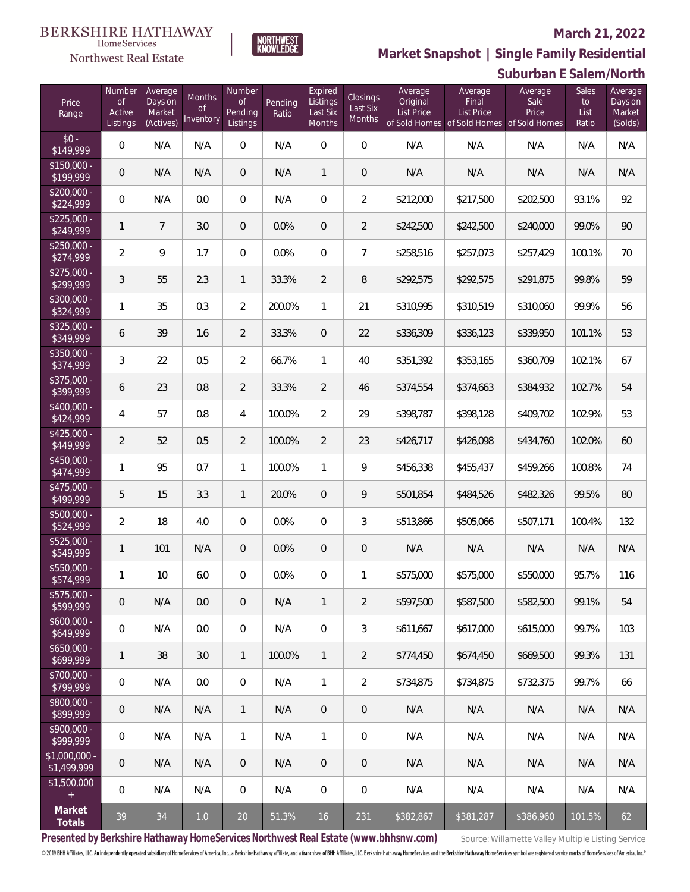#### **BERKSHIRE HATHAWAY** HomeServices

#### Northwest Real Estate

#### **March 21, 2022**



| Price<br>Range                    | Number<br><b>of</b><br>Active<br>Listings | Average<br>Days on<br>Market<br>(Actives) | Months<br><b>of</b><br>Inventory | Number<br><b>of</b><br>Pending<br>Listings | Pending<br>Ratio | Expired<br>Listings<br>Last Six<br>Months | <b>Closings</b><br>Last Six<br>Months | Average<br>Original<br><b>List Price</b> | Average<br>Final<br><b>List Price</b><br>of Sold Homes of Sold Homes of Sold Homes | Average<br>Sale<br>Price | Sales<br>to<br>List<br>Ratio | Average<br>Days on<br>Market<br>(Solds) |
|-----------------------------------|-------------------------------------------|-------------------------------------------|----------------------------------|--------------------------------------------|------------------|-------------------------------------------|---------------------------------------|------------------------------------------|------------------------------------------------------------------------------------|--------------------------|------------------------------|-----------------------------------------|
| $$0 -$<br>\$149,999               | $\mathbf 0$                               | N/A                                       | N/A                              | $\mathsf{O}\xspace$                        | N/A              | $\mathbf 0$                               | 0                                     | N/A                                      | N/A                                                                                | N/A                      | N/A                          | N/A                                     |
| $$150,000 -$<br>\$199,999         | 0                                         | N/A                                       | N/A                              | $\mathbf 0$                                | N/A              | $\mathbf{1}$                              | $\mathsf{O}\xspace$                   | N/A                                      | N/A                                                                                | N/A                      | N/A                          | N/A                                     |
| $$200,000 -$<br>\$224,999         | $\boldsymbol{0}$                          | N/A                                       | 0.0                              | $\mathbf 0$                                | N/A              | $\mathbf 0$                               | $\overline{2}$                        | \$212,000                                | \$217,500                                                                          | \$202,500                | 93.1%                        | 92                                      |
| $$225,000 -$<br>\$249,999         | $\mathbf{1}$                              | $\overline{7}$                            | 3.0                              | $\boldsymbol{0}$                           | 0.0%             | $\mathbf 0$                               | $\overline{2}$                        | \$242,500                                | \$242,500                                                                          | \$240,000                | 99.0%                        | 90                                      |
| $$250,000 -$<br>\$274,999         | $\overline{2}$                            | 9                                         | 1.7                              | $\mathbf 0$                                | 0.0%             | $\mathbf 0$                               | $\overline{7}$                        | \$258,516                                | \$257,073                                                                          | \$257,429                | 100.1%                       | 70                                      |
| $$275,000 -$<br>\$299,999         | 3                                         | 55                                        | 2.3                              | $\mathbf{1}$                               | 33.3%            | $\overline{2}$                            | 8                                     | \$292,575                                | \$292,575                                                                          | \$291,875                | 99.8%                        | 59                                      |
| \$300,000 -<br>\$324,999          | 1                                         | 35                                        | 0.3                              | $\overline{2}$                             | 200.0%           | $\mathbf{1}$                              | 21                                    | \$310,995                                | \$310,519                                                                          | \$310,060                | 99.9%                        | 56                                      |
| \$325,000 -<br>\$349,999          | 6                                         | 39                                        | 1.6                              | $\overline{2}$                             | 33.3%            | $\mathbf 0$                               | 22                                    | \$336,309                                | \$336,123                                                                          | \$339,950                | 101.1%                       | 53                                      |
| \$350,000 -<br>\$374,999          | 3                                         | 22                                        | 0.5                              | $\overline{2}$                             | 66.7%            | $\mathbf{1}$                              | 40                                    | \$351,392                                | \$353,165                                                                          | \$360,709                | 102.1%                       | 67                                      |
| \$375,000 -<br>\$399,999          | 6                                         | 23                                        | 0.8                              | $\overline{2}$                             | 33.3%            | $\overline{2}$                            | 46                                    | \$374,554                                | \$374,663                                                                          | \$384,932                | 102.7%                       | 54                                      |
| \$400,000 -<br>\$424,999          | 4                                         | 57                                        | 0.8                              | 4                                          | 100.0%           | $\overline{2}$                            | 29                                    | \$398,787                                | \$398,128                                                                          | \$409,702                | 102.9%                       | 53                                      |
| $$425,000 -$<br>\$449,999         | $\overline{2}$                            | 52                                        | 0.5                              | $\overline{2}$                             | 100.0%           | $\overline{2}$                            | 23                                    | \$426,717                                | \$426,098                                                                          | \$434,760                | 102.0%                       | 60                                      |
| $$450,000 -$<br>\$474,999         | 1                                         | 95                                        | 0.7                              | $\mathbf{1}$                               | 100.0%           | $\mathbf{1}$                              | 9                                     | \$456,338                                | \$455,437                                                                          | \$459,266                | 100.8%                       | 74                                      |
| $$475,000 -$<br>\$499,999         | 5                                         | 15                                        | 3.3                              | $\mathbf{1}$                               | 20.0%            | $\overline{0}$                            | 9                                     | \$501,854                                | \$484,526                                                                          | \$482,326                | 99.5%                        | 80                                      |
| $$500,000 -$<br>\$524,999         | 2                                         | 18                                        | 4.0                              | $\boldsymbol{0}$                           | 0.0%             | $\mathbf 0$                               | 3                                     | \$513,866                                | \$505,066                                                                          | \$507,171                | 100.4%                       | 132                                     |
| $$525,000 -$<br>\$549,999         | $\mathbf{1}$                              | 101                                       | N/A                              | $\overline{0}$                             | 0.0%             | $\overline{0}$                            | $\mathsf{O}\xspace$                   | N/A                                      | N/A                                                                                | N/A                      | N/A                          | N/A                                     |
| \$550,000 -<br>\$574,999          | 1                                         | 10                                        | $6.0\,$                          | 0                                          | 0.0%             | $\overline{0}$                            | 1                                     | \$575,000                                | \$575,000                                                                          | \$550,000                | 95.7%                        | 116                                     |
| $$575,000 -$<br>\$599,999         | $\mathbf 0$                               | N/A                                       | 0.0                              | $\overline{0}$                             | N/A              | $\mathbf{1}$                              | $\overline{2}$                        | \$597,500                                | \$587,500                                                                          | \$582,500                | 99.1%                        | 54                                      |
| $$600.000 -$<br>\$649,999         | 0                                         | N/A                                       | 0.0                              | $\mathbf 0$                                | N/A              | $\mathbf 0$                               | 3                                     | \$611,667                                | \$617,000                                                                          | \$615,000                | 99.7%                        | 103                                     |
| $$650,000 -$<br>\$699,999         | 1                                         | 38                                        | 3.0                              | $\mathbf{1}$                               | 100.0%           | $\mathbf{1}$                              | $\overline{2}$                        | \$774.450                                | \$674,450                                                                          | \$669,500                | 99.3%                        | 131                                     |
| $$700.000 -$<br>\$799,999         | 0                                         | N/A                                       | 0.0                              | $\mathbf 0$                                | N/A              | $\mathbf{1}$                              | $\overline{2}$                        | \$734.875                                | \$734.875                                                                          | \$732.375                | 99.7%                        | 66                                      |
| \$800,000 -<br>\$899,999          | $\overline{0}$                            | N/A                                       | N/A                              | $\mathbf{1}$                               | N/A              | $\overline{0}$                            | $\mathbf 0$                           | N/A                                      | N/A                                                                                | N/A                      | N/A                          | N/A                                     |
| \$900,000 -<br>$\sqrt{18999.999}$ | $\overline{0}$                            | N/A                                       | N/A                              | $\mathbf{1}$                               | N/A              | $\mathbf{1}$                              | 0                                     | N/A                                      | N/A                                                                                | N/A                      | N/A                          | N/A                                     |
| $$1,000,000 -$<br>\$1,499,999     | 0                                         | N/A                                       | N/A                              | $\mathbf{0}$                               | N/A              | $\overline{0}$                            | $\mathbf 0$                           | N/A                                      | N/A                                                                                | N/A                      | N/A                          | N/A                                     |
| \$1,500,000<br>$+$                | 0                                         | N/A                                       | N/A                              | $\mathbf 0$                                | N/A              | $\boldsymbol{0}$                          | 0                                     | N/A                                      | N/A                                                                                | N/A                      | N/A                          | N/A                                     |
| Market<br>Totals                  | 39                                        | 34                                        | $1.0\,$                          | 20                                         | 51.3%            | 16                                        | 231                                   | \$382,867                                | \$381,287                                                                          | \$386,960                | 101.5%                       | 62                                      |

NORTHWEST<br>KNOWLFDGF

Presented by Berkshire Hathaway HomeServices Northwest Real Estate (www.bhhsnw.com) Source: Willamette Valley Multiple Listing Service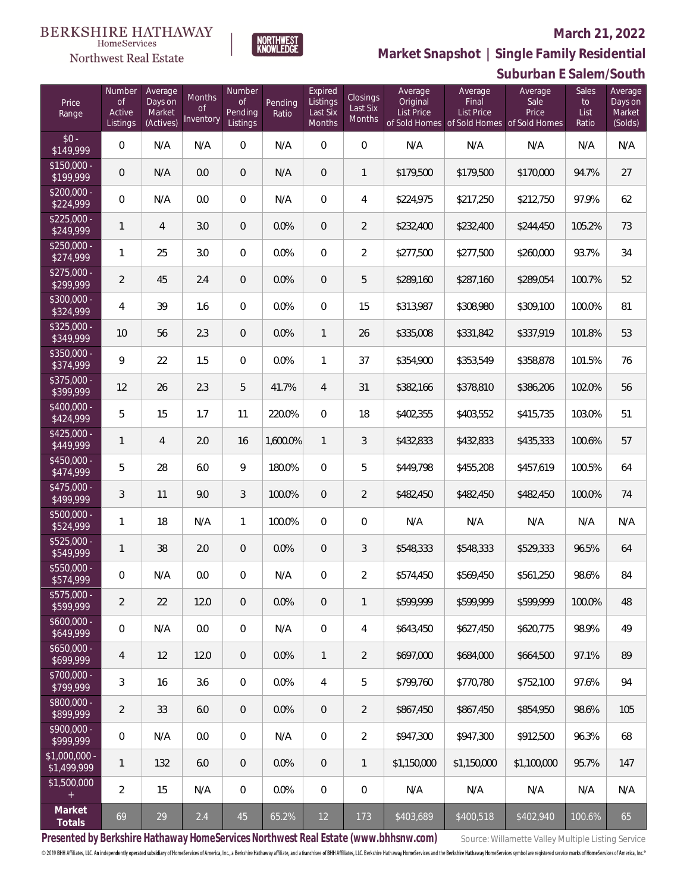#### Northwest Real Estate

#### **March 21, 2022**



**Suburban E Salem/South Market Snapshot | Single Family Residential**

| Price<br>Range                | Number<br><b>of</b><br>Active<br>Listings | Average<br>Days on<br>Market<br>(Actives) | <b>Months</b><br><b>of</b><br>Inventory | Number<br><b>of</b><br>Pending<br>Listings | Pending<br>Ratio | Expired<br>Listings<br>Last Six<br>Months | <b>Closings</b><br>Last Six<br>Months | Average<br>Original<br>List Price | Average<br>Final<br>List Price<br>of Sold Homes of Sold Homes of Sold Homes | Average<br>Sale<br>Price | <b>Sales</b><br>to<br>List<br>Ratio | Average<br>Days on<br>Market<br>(Solds) |
|-------------------------------|-------------------------------------------|-------------------------------------------|-----------------------------------------|--------------------------------------------|------------------|-------------------------------------------|---------------------------------------|-----------------------------------|-----------------------------------------------------------------------------|--------------------------|-------------------------------------|-----------------------------------------|
| $$0 -$<br>\$149,999           | $\Omega$                                  | N/A                                       | N/A                                     | $\overline{0}$                             | N/A              | $\Omega$                                  | $\overline{0}$                        | N/A                               | N/A                                                                         | N/A                      | N/A                                 | N/A                                     |
| $$150,000 -$<br>\$199,999     | 0                                         | N/A                                       | 0.0                                     | $\overline{0}$                             | N/A              | $\overline{0}$                            | $\mathbf{1}$                          | \$179,500                         | \$179,500                                                                   | \$170,000                | 94.7%                               | 27                                      |
| \$200,000 -<br>\$224,999      | $\overline{0}$                            | N/A                                       | 0.0                                     | $\overline{0}$                             | N/A              | $\Omega$                                  | 4                                     | \$224,975                         | \$217,250                                                                   | \$212,750                | 97.9%                               | 62                                      |
| $$225,000 -$<br>\$249,999     | $\mathbf{1}$                              | $\overline{4}$                            | 3.0                                     | $\overline{0}$                             | 0.0%             | $\Omega$                                  | $\overline{2}$                        | \$232,400                         | \$232,400                                                                   | \$244,450                | 105.2%                              | 73                                      |
| $$250,000 -$<br>\$274,999     | $\mathbf{1}$                              | 25                                        | 3.0                                     | $\Omega$                                   | 0.0%             | $\Omega$                                  | $\overline{2}$                        | \$277,500                         | \$277,500                                                                   | \$260,000                | 93.7%                               | 34                                      |
| $$275,000 -$<br>\$299,999     | $\overline{2}$                            | 45                                        | 2.4                                     | $\overline{0}$                             | 0.0%             | $\Omega$                                  | 5                                     | \$289,160                         | \$287,160                                                                   | \$289,054                | 100.7%                              | 52                                      |
| \$300,000 -<br>\$324,999      | 4                                         | 39                                        | 1.6                                     | 0                                          | 0.0%             | $\Omega$                                  | 15                                    | \$313,987                         | \$308,980                                                                   | \$309,100                | 100.0%                              | 81                                      |
| \$325,000 -<br>\$349,999      | 10                                        | 56                                        | 2.3                                     | $\overline{0}$                             | 0.0%             | $\mathbf{1}$                              | 26                                    | \$335,008                         | \$331,842                                                                   | \$337,919                | 101.8%                              | 53                                      |
| \$350,000 -<br>\$374,999      | 9                                         | 22                                        | 1.5                                     | 0                                          | 0.0%             | $\mathbf{1}$                              | 37                                    | \$354,900                         | \$353,549                                                                   | \$358,878                | 101.5%                              | 76                                      |
| $$375,000 -$<br>\$399,999     | 12                                        | 26                                        | 2.3                                     | 5                                          | 41.7%            | $\overline{4}$                            | 31                                    | \$382,166                         | \$378,810                                                                   | \$386,206                | 102.0%                              | 56                                      |
| \$400,000 -<br>\$424,999      | 5                                         | 15                                        | 1.7                                     | 11                                         | 220.0%           | $\Omega$                                  | 18                                    | \$402,355                         | \$403,552                                                                   | \$415,735                | 103.0%                              | 51                                      |
| $$425,000 -$<br>\$449,999     | $\mathbf{1}$                              | 4                                         | 2.0                                     | 16                                         | 1,600.0%         | $\mathbf{1}$                              | 3                                     | \$432,833                         | \$432,833                                                                   | \$435,333                | 100.6%                              | 57                                      |
| $$450,000 -$<br>\$474,999     | 5                                         | 28                                        | 6.0                                     | 9                                          | 180.0%           | $\Omega$                                  | 5                                     | \$449,798                         | \$455,208                                                                   | \$457,619                | 100.5%                              | 64                                      |
| $$475,000 -$<br>\$499,999     | 3                                         | 11                                        | 9.0                                     | 3                                          | 100.0%           | $\overline{0}$                            | $\overline{2}$                        | \$482,450                         | \$482,450                                                                   | \$482,450                | 100.0%                              | 74                                      |
| \$500,000 -<br>\$524,999      | $\mathbf{1}$                              | 18                                        | N/A                                     | $\mathbf{1}$                               | 100.0%           | $\Omega$                                  | $\overline{0}$                        | N/A                               | N/A                                                                         | N/A                      | N/A                                 | N/A                                     |
| $$525,000 -$<br>\$549,999     | $\mathbf{1}$                              | 38                                        | 2.0                                     | $\overline{0}$                             | 0.0%             | $\overline{0}$                            | 3                                     | \$548,333                         | \$548,333                                                                   | \$529,333                | 96.5%                               | 64                                      |
| \$550,000 -<br>\$574,999      | 0                                         | N/A                                       | 0.0                                     | $\overline{0}$                             | N/A              | $\overline{0}$                            | $\overline{2}$                        | \$574,450                         | \$569,450                                                                   | \$561,250                | 98.6%                               | 84                                      |
| \$575,000 -<br>\$599,999      | $\overline{a}$                            | 22                                        | 12.0                                    | 0                                          | 0.0%             | $\mathbf 0$                               | $\mathbf{1}$                          | \$599,999                         | \$599,999                                                                   | \$599,999                | 100.0%                              | 48                                      |
| $$600,000 -$<br>\$649,999     | $\mathbf 0$                               | N/A                                       | 0.0                                     | 0                                          | N/A              | 0                                         | 4                                     | \$643,450                         | \$627,450                                                                   | \$620,775                | 98.9%                               | 49                                      |
| $$650,000 -$<br>\$699,999     | 4                                         | 12                                        | 12.0                                    | $\mathbf 0$                                | 0.0%             | $\mathbf{1}$                              | $\overline{2}$                        | \$697,000                         | \$684,000                                                                   | \$664,500                | 97.1%                               | 89                                      |
| \$700,000 -<br>\$799,999      | 3                                         | 16                                        | 3.6                                     | 0                                          | 0.0%             | 4                                         | 5                                     | \$799,760                         | \$770,780                                                                   | \$752,100                | 97.6%                               | 94                                      |
| \$800,000 -<br>\$899,999      | $\overline{2}$                            | 33                                        | 6.0                                     | $\mathbf 0$                                | 0.0%             | $\mathbf 0$                               | $\overline{2}$                        | \$867,450                         | \$867,450                                                                   | \$854,950                | 98.6%                               | 105                                     |
| \$900,000 -<br>\$999,999      | 0                                         | N/A                                       | 0.0                                     | 0                                          | N/A              | 0                                         | $\overline{2}$                        | \$947,300                         | \$947,300                                                                   | \$912,500                | 96.3%                               | 68                                      |
| $$1,000,000$ -<br>\$1,499,999 | $\mathbf{1}$                              | 132                                       | 6.0                                     | $\mathbf 0$                                | 0.0%             | $\mathbf 0$                               | 1                                     | \$1,150,000                       | \$1,150,000                                                                 | \$1,100,000              | 95.7%                               | 147                                     |
| \$1,500,000<br>$^+$           | $\overline{2}$                            | 15                                        | N/A                                     | 0                                          | 0.0%             | 0                                         | 0                                     | N/A                               | N/A                                                                         | N/A                      | N/A                                 | N/A                                     |
| Market<br>Totals              | 69                                        | 29                                        | 2.4                                     | 45                                         | 65.2%            | $12 \overline{ }$                         | 173                                   | \$403,689                         | \$400,518                                                                   | \$402,940                | 100.6%                              | 65                                      |

Presented by Berkshire Hathaway HomeServices Northwest Real Estate (www.bhhsnw.com) source: Willamette Valley Multiple Listing Service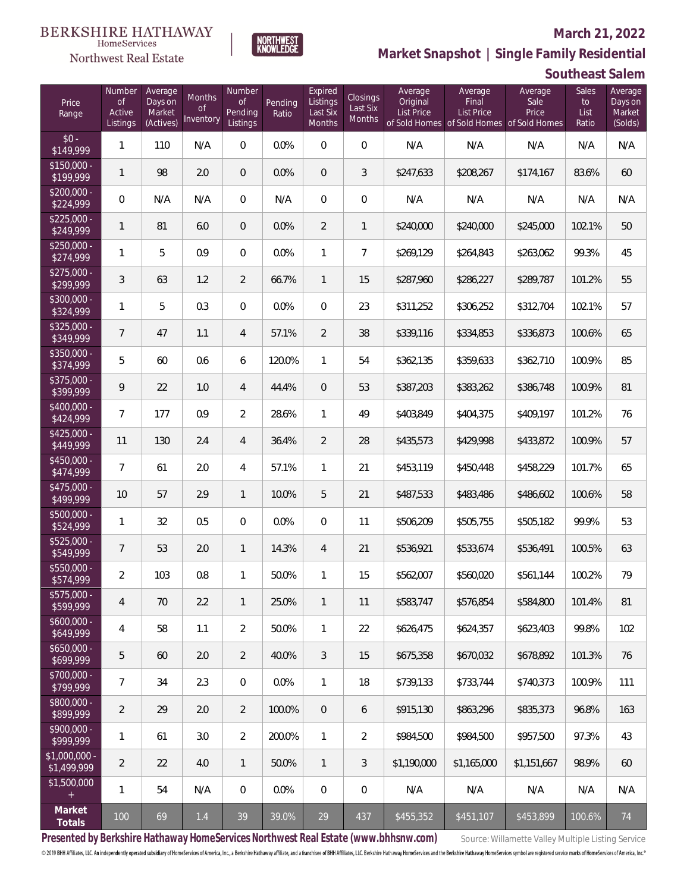#### Northwest Real Estate

#### **March 21, 2022**



**Southeast Salem**

| Price<br>Range                | Number<br><b>of</b><br>Active<br>Listings | Average<br>Days on<br>Market<br>(Actives) | Months<br><b>of</b><br>Inventory | Number<br><b>of</b><br>Pending<br>Listings | Pending<br>Ratio | Expired<br>Listings<br>Last Six<br>Months | Closings<br>Last Six<br>Months | Average<br>Original<br><b>List Price</b> | Average<br>Final<br><b>List Price</b> | Average<br>Sale<br>Price<br>of Sold Homes of Sold Homes of Sold Homes | Sales<br>to<br>List<br>Ratio | Average<br>Days on<br>Market<br>(Solds) |
|-------------------------------|-------------------------------------------|-------------------------------------------|----------------------------------|--------------------------------------------|------------------|-------------------------------------------|--------------------------------|------------------------------------------|---------------------------------------|-----------------------------------------------------------------------|------------------------------|-----------------------------------------|
| $$0 -$<br>\$149,999           | $\mathbf{1}$                              | 110                                       | N/A                              | $\overline{0}$                             | 0.0%             | $\bigcirc$                                | $\overline{0}$                 | N/A                                      | N/A                                   | N/A                                                                   | N/A                          | N/A                                     |
| $$150,000 -$<br>\$199,999     | $\mathbf{1}$                              | 98                                        | 2.0                              | $\mathbf{0}$                               | 0.0%             | $\overline{0}$                            | 3                              | \$247,633                                | \$208,267                             | \$174,167                                                             | 83.6%                        | 60                                      |
| $$200,000 -$<br>\$224,999     | $\overline{0}$                            | N/A                                       | N/A                              | $\overline{0}$                             | N/A              | $\mathbf{0}$                              | $\overline{0}$                 | N/A                                      | N/A                                   | N/A                                                                   | N/A                          | N/A                                     |
| $$225,000 -$<br>\$249,999     | $\mathbf{1}$                              | 81                                        | 6.0                              | $\overline{0}$                             | 0.0%             | $\overline{2}$                            | $\mathbf{1}$                   | \$240,000                                | \$240,000                             | \$245,000                                                             | 102.1%                       | 50                                      |
| $$250,000 -$<br>\$274,999     | 1                                         | 5                                         | 0.9                              | $\overline{0}$                             | 0.0%             | $\mathbf{1}$                              | $\overline{7}$                 | \$269,129                                | \$264,843                             | \$263,062                                                             | 99.3%                        | 45                                      |
| $$275,000 -$<br>\$299,999     | 3                                         | 63                                        | 1.2                              | $\overline{2}$                             | 66.7%            | $\mathbf{1}$                              | 15                             | \$287,960                                | \$286,227                             | \$289,787                                                             | 101.2%                       | 55                                      |
| $$300,000 -$<br>\$324,999     | 1                                         | 5                                         | 0.3                              | $\overline{0}$                             | 0.0%             | $\Omega$                                  | 23                             | \$311,252                                | \$306,252                             | \$312,704                                                             | 102.1%                       | 57                                      |
| $$325,000 -$<br>\$349,999     | 7                                         | 47                                        | 1.1                              | $\overline{4}$                             | 57.1%            | $\overline{2}$                            | 38                             | \$339,116                                | \$334,853                             | \$336,873                                                             | 100.6%                       | 65                                      |
| $$350,000 -$<br>\$374,999     | 5                                         | 60                                        | 0.6                              | 6                                          | 120.0%           | $\mathbf{1}$                              | 54                             | \$362,135                                | \$359,633                             | \$362,710                                                             | 100.9%                       | 85                                      |
| $$375,000 -$<br>\$399,999     | 9                                         | 22                                        | 1.0                              | $\overline{4}$                             | 44.4%            | $\overline{0}$                            | 53                             | \$387,203                                | \$383,262                             | \$386,748                                                             | 100.9%                       | 81                                      |
| $$400,000 -$<br>\$424,999     | $\overline{7}$                            | 177                                       | 0.9                              | $\overline{2}$                             | 28.6%            | $\mathbf{1}$                              | 49                             | \$403,849                                | \$404,375                             | \$409,197                                                             | 101.2%                       | 76                                      |
| $$425,000 -$<br>\$449,999     | 11                                        | 130                                       | 2.4                              | $\overline{4}$                             | 36.4%            | $\overline{2}$                            | 28                             | \$435,573                                | \$429,998                             | \$433,872                                                             | 100.9%                       | 57                                      |
| $$450,000 -$<br>\$474,999     | $\overline{7}$                            | 61                                        | 2.0                              | $\overline{4}$                             | 57.1%            | $\mathbf{1}$                              | 21                             | \$453,119                                | \$450,448                             | \$458,229                                                             | 101.7%                       | 65                                      |
| \$475,000 -<br>\$499,999      | 10                                        | 57                                        | 2.9                              | $\mathbf{1}$                               | 10.0%            | 5                                         | 21                             | \$487,533                                | \$483,486                             | \$486,602                                                             | 100.6%                       | 58                                      |
| $$500,000 -$<br>\$524,999     | $\mathbf{1}$                              | 32                                        | 0.5                              | $\Omega$                                   | 0.0%             | $\overline{0}$                            | 11                             | \$506,209                                | \$505,755                             | \$505,182                                                             | 99.9%                        | 53                                      |
| $$525,000 -$<br>\$549,999     | $\overline{7}$                            | 53                                        | 2.0                              | $\mathbf{1}$                               | 14.3%            | $\overline{4}$                            | 21                             | \$536,921                                | \$533,674                             | \$536,491                                                             | 100.5%                       | 63                                      |
| $$550,000 -$<br>\$574,999     | $\overline{2}$                            | 103                                       | 0.8                              | $\mathbf{1}$                               | 50.0%            | $\mathbf{1}$                              | 15                             | \$562,007                                | \$560,020                             | \$561.144                                                             | 100.2%                       | 79                                      |
| \$575,000 -<br>\$599,999      | 4                                         | 70                                        | 2.2                              | $\mathbf{1}$                               | 25.0%            | $\mathbf{1}$                              | 11                             | \$583,747                                | \$576,854                             | \$584,800                                                             | 101.4%                       | 81                                      |
| $$600,000 -$<br>\$649,999     | 4                                         | 58                                        | 1.1                              | $\overline{2}$                             | 50.0%            | $\mathbf{1}$                              | 22                             | \$626,475                                | \$624,357                             | \$623,403                                                             | 99.8%                        | 102                                     |
| $$650,000 -$<br>\$699,999     | 5                                         | 60                                        | 2.0                              | $\overline{2}$                             | 40.0%            | $\mathfrak{Z}$                            | 15                             | \$675,358                                | \$670,032                             | \$678,892                                                             | 101.3%                       | 76                                      |
| \$700,000 -<br>\$799,999      | 7                                         | 34                                        | 2.3                              | $\mathbf 0$                                | 0.0%             | $\mathbf{1}$                              | 18                             | \$739,133                                | \$733,744                             | \$740,373                                                             | 100.9%                       | 111                                     |
| \$800,000 -<br>\$899,999      | $\overline{a}$                            | 29                                        | 2.0                              | $\overline{2}$                             | 100.0%           | $\overline{0}$                            | 6                              | \$915,130                                | \$863,296                             | \$835,373                                                             | 96.8%                        | 163                                     |
| \$900,000 -<br>\$999,999      | 1                                         | 61                                        | 3.0                              | $\overline{2}$                             | 200.0%           | $\mathbf{1}$                              | $\overline{2}$                 | \$984,500                                | \$984,500                             | \$957,500                                                             | 97.3%                        | 43                                      |
| $$1,000,000$ -<br>\$1,499,999 | $\overline{2}$                            | 22                                        | 4.0                              | $\overline{1}$                             | 50.0%            | $\mathbf{1}$                              | $\mathfrak{Z}$                 | \$1,190,000                              | \$1,165,000                           | \$1,151,667                                                           | 98.9%                        | 60                                      |
| \$1,500,000<br>$+$            | 1                                         | 54                                        | N/A                              | $\mathbf 0$                                | 0.0%             | $\overline{0}$                            | 0                              | N/A                                      | N/A                                   | N/A                                                                   | N/A                          | N/A                                     |
| Market<br>Totals              | 100                                       | 69                                        | $1.4\,$                          | 39                                         | 39.0%            | $29\,$                                    | 437                            | \$455,352                                | \$451,107                             | \$453,899                                                             | 100.6%                       | 74                                      |

NORTHWEST<br>KNOWLFDGF

Presented by Berkshire Hathaway HomeServices Northwest Real Estate (www.bhhsnw.com) source: Willamette Valley Multiple Listing Service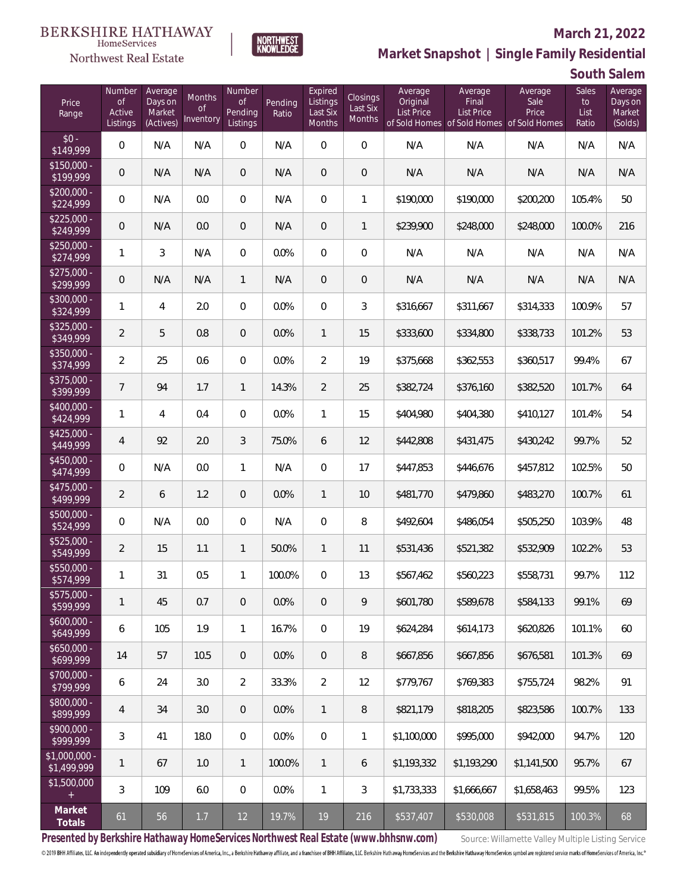#### Northwest Real Estate

#### **March 21, 2022**



**South Salem**

| Price<br>Range                | Number<br><b>of</b><br>Active<br>Listings | Average<br>Days on<br>Market<br>(Actives) | <b>Months</b><br><b>of</b><br>Inventory | Number<br>Οf<br>Pending<br>Listings | Pending<br>Ratio | Expired<br>Listings<br>Last Six<br>Months | Closings<br>Last Six<br><b>Months</b> | Average<br>Original<br><b>List Price</b> | Average<br>Final<br><b>List Price</b> | Average<br>Sale<br>Price<br>of Sold Homes of Sold Homes of Sold Homes | <b>Sales</b><br>to<br>List<br>Ratio | Average<br>Days on<br>Market<br>(Solds) |
|-------------------------------|-------------------------------------------|-------------------------------------------|-----------------------------------------|-------------------------------------|------------------|-------------------------------------------|---------------------------------------|------------------------------------------|---------------------------------------|-----------------------------------------------------------------------|-------------------------------------|-----------------------------------------|
| $$0 -$<br>\$149,999           | 0                                         | N/A                                       | N/A                                     | $\overline{0}$                      | N/A              | $\overline{0}$                            | $\overline{0}$                        | N/A                                      | N/A                                   | N/A                                                                   | N/A                                 | N/A                                     |
| $$150.000 -$<br>\$199,999     | 0                                         | N/A                                       | N/A                                     | $\overline{0}$                      | N/A              | 0                                         | $\mathbf 0$                           | N/A                                      | N/A                                   | N/A                                                                   | N/A                                 | N/A                                     |
| $$200.000 -$<br>\$224,999     | 0                                         | N/A                                       | 0.0                                     | 0                                   | N/A              | $\overline{0}$                            | 1                                     | \$190,000                                | \$190,000                             | \$200,200                                                             | 105.4%                              | 50                                      |
| $$225.000 -$<br>\$249,999     | 0                                         | N/A                                       | 0.0                                     | $\overline{0}$                      | N/A              | $\overline{0}$                            | 1                                     | \$239,900                                | \$248,000                             | \$248,000                                                             | 100.0%                              | 216                                     |
| $$250,000 -$<br>\$274,999     | 1                                         | 3                                         | N/A                                     | $\overline{0}$                      | 0.0%             | $\overline{0}$                            | $\boldsymbol{0}$                      | N/A                                      | N/A                                   | N/A                                                                   | N/A                                 | N/A                                     |
| $$275,000 -$<br>\$299,999     | 0                                         | N/A                                       | N/A                                     | $\mathbf{1}$                        | N/A              | 0                                         | $\mathbf 0$                           | N/A                                      | N/A                                   | N/A                                                                   | N/A                                 | N/A                                     |
| $$300,000 -$<br>\$324,999     | 1                                         | 4                                         | 2.0                                     | $\overline{0}$                      | 0.0%             | $\overline{0}$                            | 3                                     | \$316,667                                | \$311,667                             | \$314,333                                                             | 100.9%                              | 57                                      |
| \$325,000 -<br>\$349,999      | $\overline{2}$                            | 5                                         | 0.8                                     | $\overline{0}$                      | 0.0%             | $\mathbf{1}$                              | 15                                    | \$333,600                                | \$334,800                             | \$338,733                                                             | 101.2%                              | 53                                      |
| \$350,000 -<br>\$374,999      | 2                                         | 25                                        | 0.6                                     | $\overline{0}$                      | 0.0%             | $\overline{2}$                            | 19                                    | \$375,668                                | \$362,553                             | \$360,517                                                             | 99.4%                               | 67                                      |
| \$375,000 -<br>\$399,999      | $\overline{7}$                            | 94                                        | 1.7                                     | $\mathbf{1}$                        | 14.3%            | $\overline{2}$                            | 25                                    | \$382,724                                | \$376,160                             | \$382,520                                                             | 101.7%                              | 64                                      |
| \$400,000 -<br>\$424,999      | 1                                         | 4                                         | 0.4                                     | $\overline{0}$                      | 0.0%             | 1                                         | 15                                    | \$404,980                                | \$404,380                             | \$410,127                                                             | 101.4%                              | 54                                      |
| $$425,000 -$<br>\$449,999     | $\overline{4}$                            | 92                                        | 2.0                                     | 3                                   | 75.0%            | 6                                         | 12                                    | \$442,808                                | \$431,475                             | \$430,242                                                             | 99.7%                               | 52                                      |
| \$450,000 -<br>\$474,999      | 0                                         | N/A                                       | 0.0                                     | $\mathbf{1}$                        | N/A              | $\overline{0}$                            | 17                                    | \$447,853                                | \$446,676                             | \$457,812                                                             | 102.5%                              | 50                                      |
| \$475,000 -<br>\$499,999      | $\overline{2}$                            | 6                                         | 1.2                                     | $\overline{0}$                      | 0.0%             | $\mathbf{1}$                              | 10                                    | \$481,770                                | \$479,860                             | \$483,270                                                             | 100.7%                              | 61                                      |
| \$500,000 -<br>\$524,999      | 0                                         | N/A                                       | 0.0                                     | $\overline{0}$                      | N/A              | $\overline{0}$                            | 8                                     | \$492,604                                | \$486,054                             | \$505,250                                                             | 103.9%                              | 48                                      |
| \$525,000 -<br>\$549,999      | $\overline{2}$                            | 15                                        | 1.1                                     | $\mathbf{1}$                        | 50.0%            | $\mathbf{1}$                              | 11                                    | \$531,436                                | \$521,382                             | \$532,909                                                             | 102.2%                              | 53                                      |
| \$550,000 -<br>\$574,999      | 1                                         | 31                                        | 0.5                                     | $\mathbf{1}$                        | 100.0%           | 0                                         | 13                                    | \$567,462                                | \$560,223                             | \$558,731                                                             | 99.7%                               | 112                                     |
| \$575,000 -<br>\$599,999      | 1                                         | 45                                        | 0.7                                     | $\mathbf 0$                         | 0.0%             | 0                                         | 9                                     | \$601,780                                | \$589,678                             | \$584,133                                                             | 99.1%                               | 69                                      |
| $$600,000 -$<br>\$649,999     | 6                                         | 105                                       | 1.9                                     | 1                                   | 16.7%            | $\overline{0}$                            | 19                                    | \$624,284                                | \$614,173                             | \$620,826                                                             | 101.1%                              | 60                                      |
| $$650,000 -$<br>\$699,999     | 14                                        | 57                                        | 10.5                                    | $\overline{0}$                      | 0.0%             | $\overline{0}$                            | 8                                     | \$667,856                                | \$667,856                             | \$676,581                                                             | 101.3%                              | 69                                      |
| $$700,000 -$<br>\$799,999     | 6                                         | 24                                        | 3.0                                     | $\overline{2}$                      | 33.3%            | $\overline{2}$                            | 12                                    | \$779,767                                | \$769,383                             | \$755,724                                                             | 98.2%                               | 91                                      |
| \$800,000 -<br>\$899,999      | 4                                         | 34                                        | 3.0                                     | $\sqrt{0}$                          | 0.0%             | $\mathbf{1}$                              | 8                                     | \$821,179                                | \$818,205                             | \$823,586                                                             | 100.7%                              | 133                                     |
| $$900,000 -$<br>\$999,999     | 3                                         | 41                                        | 18.0                                    | $\mathbf 0$                         | 0.0%             | $\mathbf 0$                               | 1                                     | \$1,100,000                              | \$995,000                             | \$942,000                                                             | 94.7%                               | 120                                     |
| $$1,000,000$ -<br>\$1,499,999 | 1                                         | 67                                        | 1.0                                     | $\mathbf{1}$                        | 100.0%           | $\mathbf{1}$                              | 6                                     | \$1,193,332                              | \$1,193,290                           | \$1,141,500                                                           | 95.7%                               | 67                                      |
| \$1,500,000<br>$+$            | 3                                         | 109                                       | 6.0                                     | $\mathbf 0$                         | 0.0%             | $\mathbf{1}$                              | 3                                     | \$1,733,333                              | \$1,666,667                           | \$1,658,463                                                           | 99.5%                               | 123                                     |
| Market<br>Totals              | 61                                        | 56                                        | 1.7                                     | 12                                  | 19.7%            | 19                                        | 216                                   | \$537,407                                | \$530,008                             | \$531,815                                                             | 100.3%                              | 68                                      |

NORTHWEST<br>KNOWLFDGF

Presented by Berkshire Hathaway HomeServices Northwest Real Estate (www.bhhsnw.com) source: Willamette Valley Multiple Listing Service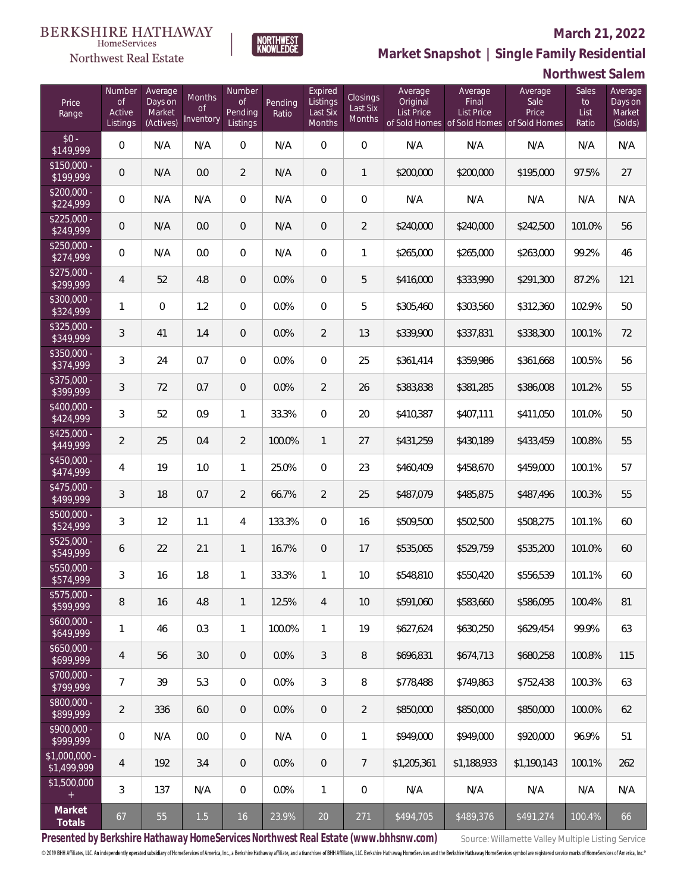#### **March 21, 2022**



**BERKSHIRE HATHAWAY** HomeServices

Northwest Real Estate

**Market Snapshot | Single Family Residential**

|                               |                                           |                                           |                                  |                                            |                  |                                           |                                       |                                          |                                                                                    |                          | Northwest Salem              |                                         |
|-------------------------------|-------------------------------------------|-------------------------------------------|----------------------------------|--------------------------------------------|------------------|-------------------------------------------|---------------------------------------|------------------------------------------|------------------------------------------------------------------------------------|--------------------------|------------------------------|-----------------------------------------|
| Price<br>Range                | Number<br><b>of</b><br>Active<br>Listings | Average<br>Days on<br>Market<br>(Actives) | Months<br><b>of</b><br>Inventory | Number<br><b>of</b><br>Pending<br>Listings | Pending<br>Ratio | Expired<br>Listings<br>Last Six<br>Months | Closings<br>Last Six<br><b>Months</b> | Average<br>Original<br><b>List Price</b> | Average<br>Final<br><b>List Price</b><br>of Sold Homes of Sold Homes of Sold Homes | Average<br>Sale<br>Price | Sales<br>to<br>List<br>Ratio | Average<br>Days on<br>Market<br>(Solds) |
| $$0 -$<br>\$149,999           | 0                                         | N/A                                       | N/A                              | $\mathbf{0}$                               | N/A              | $\overline{0}$                            | $\mathbf 0$                           | N/A                                      | N/A                                                                                | N/A                      | N/A                          | N/A                                     |
| $$150,000 -$<br>\$199,999     | 0                                         | N/A                                       | 0.0                              | $\overline{2}$                             | N/A              | $\mathbf{0}$                              | $\mathbf{1}$                          | \$200,000                                | \$200,000                                                                          | \$195,000                | 97.5%                        | 27                                      |
| $$200,000 -$<br>\$224,999     | 0                                         | N/A                                       | N/A                              | $\mathbf{0}$                               | N/A              | $\mathbf{0}$                              | $\mathbf 0$                           | N/A                                      | N/A                                                                                | N/A                      | N/A                          | N/A                                     |
| $$225,000 -$<br>\$249,999     | 0                                         | N/A                                       | 0.0                              | $\theta$                                   | N/A              | $\mathbf{0}$                              | $\overline{2}$                        | \$240,000                                | \$240,000                                                                          | \$242,500                | 101.0%                       | 56                                      |
| $$250.000 -$<br>\$274,999     | 0                                         | N/A                                       | 0.0                              | $\mathbf{0}$                               | N/A              | $\mathbf{0}$                              | 1                                     | \$265,000                                | \$265,000                                                                          | \$263,000                | 99.2%                        | 46                                      |
| $$275,000 -$<br>\$299,999     | 4                                         | 52                                        | 4.8                              | $\sqrt{2}$                                 | 0.0%             | $\overline{0}$                            | 5                                     | \$416,000                                | \$333,990                                                                          | \$291,300                | 87.2%                        | 121                                     |
| \$300,000 -<br>\$324,999      | 1                                         | $\mathbf{0}$                              | 1.2                              | $\mathbf{0}$                               | 0.0%             | $\mathbf{0}$                              | 5                                     | \$305,460                                | \$303,560                                                                          | \$312,360                | 102.9%                       | 50                                      |
| $$325,000 -$<br>\$349,999     | 3                                         | 41                                        | 1.4                              | $\overline{0}$                             | 0.0%             | $\overline{2}$                            | 13                                    | \$339,900                                | \$337,831                                                                          | \$338,300                | 100.1%                       | 72                                      |
| \$350,000 -<br>\$374,999      | 3                                         | 24                                        | 0.7                              | $\mathbf{0}$                               | 0.0%             | $\mathbf{0}$                              | 25                                    | \$361,414                                | \$359,986                                                                          | \$361,668                | 100.5%                       | 56                                      |
| \$375,000 -<br>\$399,999      | 3                                         | 72                                        | 0.7                              | $\overline{0}$                             | 0.0%             | $\overline{2}$                            | 26                                    | \$383,838                                | \$381,285                                                                          | \$386,008                | 101.2%                       | 55                                      |
| \$400,000 -<br>\$424,999      | $\mathfrak{Z}$                            | 52                                        | 0.9                              | 1                                          | 33.3%            | $\overline{0}$                            | 20                                    | \$410,387                                | \$407,111                                                                          | \$411,050                | 101.0%                       | 50                                      |
| $$425,000 -$<br>\$449,999     | $\overline{2}$                            | 25                                        | 0.4                              | $\overline{2}$                             | 100.0%           | $\mathbf{1}$                              | 27                                    | \$431,259                                | \$430,189                                                                          | \$433,459                | 100.8%                       | 55                                      |
| \$450,000 -<br>\$474,999      | 4                                         | 19                                        | 1.0                              | 1                                          | 25.0%            | $\overline{0}$                            | 23                                    | \$460,409                                | \$458,670                                                                          | \$459,000                | 100.1%                       | 57                                      |
| \$475,000 -<br>\$499,999      | 3                                         | 18                                        | 0.7                              | $\overline{2}$                             | 66.7%            | $\overline{2}$                            | 25                                    | \$487,079                                | \$485,875                                                                          | \$487,496                | 100.3%                       | 55                                      |
| \$500,000 -<br>\$524,999      | $\sqrt{3}$                                | 12                                        | 1.1                              | 4                                          | 133.3%           | $\overline{0}$                            | 16                                    | \$509,500                                | \$502,500                                                                          | \$508,275                | 101.1%                       | 60                                      |
| $$525,000 -$<br>\$549,999     | 6                                         | 22                                        | 2.1                              | 1                                          | 16.7%            | $\mathbf{0}$                              | 17                                    | \$535,065                                | \$529,759                                                                          | \$535,200                | 101.0%                       | 60                                      |
| \$550,000 -<br>\$574,999      | 3                                         | 16                                        | 1.8                              |                                            | 33.3%            |                                           | 10                                    | \$548,810                                | \$550,420                                                                          | \$556,539                | 101.1%                       | 60                                      |
| $$575,000 -$<br>\$599,999     | 8                                         | 16                                        | 4.8                              | $\mathbf{1}$                               | 12.5%            | $\overline{4}$                            | 10                                    | \$591,060                                | \$583,660                                                                          | \$586,095                | 100.4%                       | 81                                      |
| $$600,000 -$<br>\$649,999     | 1                                         | 46                                        | 0.3                              | $\mathbf{1}$                               | 100.0%           | $\mathbf{1}$                              | 19                                    | \$627,624                                | \$630,250                                                                          | \$629,454                | 99.9%                        | 63                                      |
| $$650,000 -$<br>\$699,999     | $\overline{4}$                            | 56                                        | 3.0                              | $\theta$                                   | $0.0\%$          | 3                                         | 8                                     | \$696,831                                | \$674,713                                                                          | \$680,258                | 100.8%                       | 115                                     |
| \$700,000 -<br>\$799,999      | $\overline{7}$                            | 39                                        | 5.3                              | $\mathbf 0$                                | 0.0%             | 3                                         | 8                                     | \$778,488                                | \$749,863                                                                          | \$752,438                | 100.3%                       | 63                                      |
| \$800,000 -<br>\$899,999      | $\overline{2}$                            | 336                                       | 6.0                              | $\theta$                                   | $0.0\%$          | $\overline{0}$                            | $\overline{2}$                        | \$850,000                                | \$850,000                                                                          | \$850,000                | 100.0%                       | 62                                      |
| \$900,000 -<br>\$999,999      | $\mathbf 0$                               | N/A                                       | 0.0                              | $\mathbf 0$                                | N/A              | $\overline{0}$                            | 1                                     | \$949,000                                | \$949,000                                                                          | \$920,000                | 96.9%                        | 51                                      |
| $$1,000,000 -$<br>\$1,499,999 | 4                                         | 192                                       | 3.4                              | $\theta$                                   | 0.0%             | $\overline{0}$                            | $\overline{7}$                        | \$1,205,361                              | \$1,188,933                                                                        | \$1,190,143              | 100.1%                       | 262                                     |
| \$1,500,000                   | 3                                         | 137                                       | N/A                              | $\mathbf 0$                                | 0.0%             | $\mathbf{1}$                              | $\mathbf 0$                           | N/A                                      | N/A                                                                                | N/A                      | N/A                          | N/A                                     |
| Market<br>Totals              | 67                                        | 55                                        | $1.5$                            | 16                                         | 23.9%            | 20                                        | 271                                   | \$494,705                                | \$489,376                                                                          | \$491,274                | 100.4%                       | 66                                      |

Presented by Berkshire Hathaway HomeServices Northwest Real Estate (www.bhhsnw.com) source: Willamette Valley Multiple Listing Service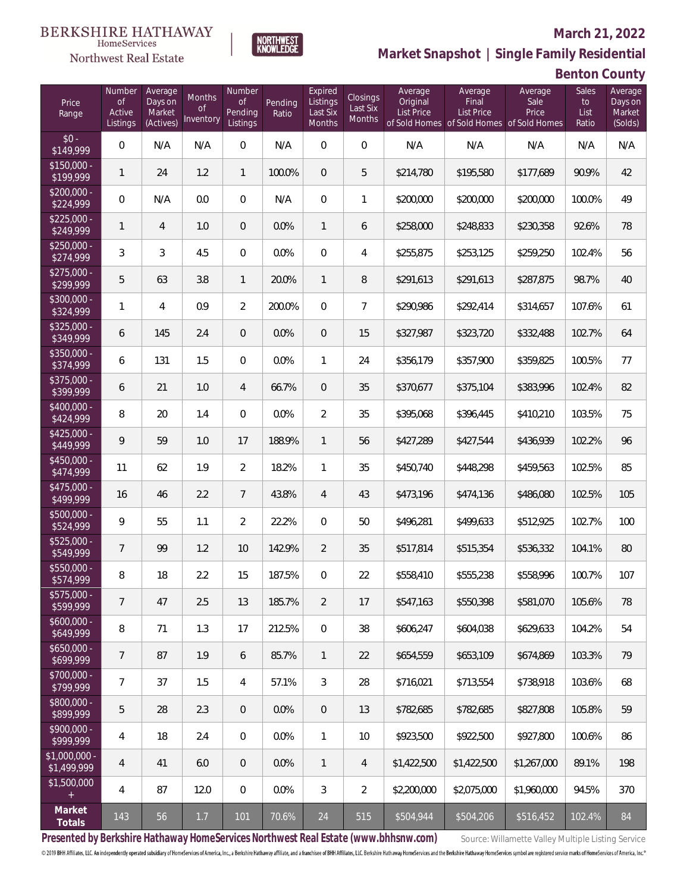#### Northwest Real Estate

#### **March 21, 2022**



**Benton County**

| Price<br>Range               | Number<br><b>of</b><br>Active<br>Listings | Average<br>Days on<br>Market<br>(Actives) | Months<br>Οf<br>Inventory | Number<br><b>of</b><br><b>Pending</b><br>Listings | Pending<br>Ratio | Expired<br>Listings<br>Last Six<br>Months | Closings<br>Last Six<br>Months | Average<br>Original<br><b>List Price</b> | Average<br>Final<br>List Price<br>of Sold Homes of Sold Homes of Sold Homes | Average<br>Sale<br>Price | Sales<br>to<br>List<br>Ratio | Average<br>Days on<br>Market<br>(Solds) |
|------------------------------|-------------------------------------------|-------------------------------------------|---------------------------|---------------------------------------------------|------------------|-------------------------------------------|--------------------------------|------------------------------------------|-----------------------------------------------------------------------------|--------------------------|------------------------------|-----------------------------------------|
| $$0 -$<br>\$149,999          | $\overline{0}$                            | N/A                                       | N/A                       | $\overline{0}$                                    | N/A              | $\Omega$                                  | $\overline{0}$                 | N/A                                      | N/A                                                                         | N/A                      | N/A                          | N/A                                     |
| $$150,000 -$<br>\$199,999    | $\mathbf{1}$                              | 24                                        | 1.2                       | $\mathbf{1}$                                      | 100.0%           | $\overline{0}$                            | 5                              | \$214,780                                | \$195,580                                                                   | \$177,689                | 90.9%                        | 42                                      |
| $$200,000 -$<br>\$224,999    | $\overline{0}$                            | N/A                                       | 0.0                       | $\overline{0}$                                    | N/A              | $\overline{0}$                            | $\mathbf{1}$                   | \$200,000                                | \$200,000                                                                   | \$200,000                | 100.0%                       | 49                                      |
| $$225,000 -$<br>\$249,999    | $\mathbf{1}$                              | $\overline{4}$                            | 1.0                       | $\overline{0}$                                    | 0.0%             | $\mathbf{1}$                              | 6                              | \$258,000                                | \$248,833                                                                   | \$230,358                | 92.6%                        | 78                                      |
| $$250,000 -$<br>\$274,999    | 3                                         | 3                                         | 4.5                       | $\overline{0}$                                    | 0.0%             | $\overline{0}$                            | 4                              | \$255,875                                | \$253,125                                                                   | \$259,250                | 102.4%                       | 56                                      |
| $$275,000 -$<br>\$299,999    | 5                                         | 63                                        | 3.8                       | $\mathbf{1}$                                      | 20.0%            | $\mathbf{1}$                              | 8                              | \$291,613                                | \$291,613                                                                   | \$287,875                | 98.7%                        | 40                                      |
| $$300,000 -$<br>\$324,999    | 1                                         | $\overline{4}$                            | 0.9                       | $\overline{2}$                                    | 200.0%           | $\overline{0}$                            | $\overline{7}$                 | \$290,986                                | \$292,414                                                                   | \$314,657                | 107.6%                       | 61                                      |
| $$325,000 -$<br>\$349,999    | 6                                         | 145                                       | 2.4                       | $\overline{0}$                                    | 0.0%             | $\overline{0}$                            | 15                             | \$327,987                                | \$323,720                                                                   | \$332,488                | 102.7%                       | 64                                      |
| $$350,000 -$<br>\$374,999    | 6                                         | 131                                       | 1.5                       | $\overline{0}$                                    | 0.0%             | $\mathbf{1}$                              | 24                             | \$356,179                                | \$357,900                                                                   | \$359,825                | 100.5%                       | 77                                      |
| $$375,000 -$<br>\$399,999    | 6                                         | 21                                        | 1.0                       | $\overline{4}$                                    | 66.7%            | $\overline{0}$                            | 35                             | \$370,677                                | \$375,104                                                                   | \$383,996                | 102.4%                       | 82                                      |
| $$400,000 -$<br>\$424,999    | 8                                         | 20                                        | 1.4                       | $\Omega$                                          | 0.0%             | $\overline{2}$                            | 35                             | \$395,068                                | \$396,445                                                                   | \$410,210                | 103.5%                       | 75                                      |
| $$425,000 -$<br>\$449,999    | 9                                         | 59                                        | 1.0                       | 17                                                | 188.9%           | $\mathbf{1}$                              | 56                             | \$427,289                                | \$427,544                                                                   | \$436,939                | 102.2%                       | 96                                      |
| $$450,000 -$<br>\$474,999    | 11                                        | 62                                        | 1.9                       | $\overline{2}$                                    | 18.2%            | $\mathbf{1}$                              | 35                             | \$450,740                                | \$448,298                                                                   | \$459,563                | 102.5%                       | 85                                      |
| $$475,000 -$<br>\$499,999    | 16                                        | 46                                        | 2.2                       | $7\overline{ }$                                   | 43.8%            | $\overline{4}$                            | 43                             | \$473,196                                | \$474,136                                                                   | \$486,080                | 102.5%                       | 105                                     |
| $$500,000 -$<br>\$524,999    | 9                                         | 55                                        | 1.1                       | $\overline{2}$                                    | 22.2%            | $\Omega$                                  | 50                             | \$496,281                                | \$499,633                                                                   | \$512,925                | 102.7%                       | 100                                     |
| $$525,000 -$<br>\$549,999    | $\overline{7}$                            | 99                                        | 1.2                       | 10                                                | 142.9%           | $\overline{2}$                            | 35                             | \$517,814                                | \$515,354                                                                   | \$536,332                | 104.1%                       | 80                                      |
| \$550,000 -<br>\$574,999     | 8                                         | 18                                        | 2.2                       | 15                                                | 187.5%           | $\Omega$                                  | 22                             | \$558,410                                | \$555,238                                                                   | \$558,996                | 100.7%                       | 107                                     |
| \$575,000 -<br>\$599,999     | $\overline{7}$                            | 47                                        | 2.5                       | 13                                                | 185.7%           | $\overline{2}$                            | 17                             | \$547,163                                | \$550,398                                                                   | \$581,070                | 105.6%                       | 78                                      |
| $$600,000 -$<br>\$649,999    | 8                                         | 71                                        | 1.3                       | 17                                                | 212.5%           | $\mathbf 0$                               | 38                             | \$606,247                                | \$604,038                                                                   | \$629,633                | 104.2%                       | 54                                      |
| $$650,000 -$<br>\$699,999    | $\overline{7}$                            | 87                                        | 1.9                       | 6                                                 | 85.7%            | $\mathbf{1}$                              | 22                             | \$654,559                                | \$653,109                                                                   | \$674,869                | 103.3%                       | 79                                      |
| \$700,000 -<br>\$799,999     | $\overline{7}$                            | 37                                        | 1.5                       | 4                                                 | 57.1%            | 3                                         | 28                             | \$716,021                                | \$713,554                                                                   | \$738,918                | 103.6%                       | 68                                      |
| \$800,000 -<br>\$899,999     | 5                                         | 28                                        | 2.3                       | $\mathbf{0}$                                      | 0.0%             | $\overline{0}$                            | 13                             | \$782,685                                | \$782,685                                                                   | \$827,808                | 105.8%                       | 59                                      |
| \$900,000 -<br>\$999,999     | 4                                         | 18                                        | 2.4                       | $\mathbf 0$                                       | 0.0%             | $\mathbf{1}$                              | 10                             | \$923,500                                | \$922,500                                                                   | \$927,800                | 100.6%                       | 86                                      |
| \$1,000,000 -<br>\$1,499,999 | 4                                         | 41                                        | $6.0\,$                   | $\mathbf{0}$                                      | 0.0%             | $\mathbf{1}$                              | $\overline{4}$                 | \$1,422,500                              | \$1,422,500                                                                 | \$1,267,000              | 89.1%                        | 198                                     |
| \$1,500,000<br>$+$           | 4                                         | 87                                        | 12.0                      | $\mathbf{0}$                                      | 0.0%             | 3                                         | $\overline{2}$                 | \$2,200,000                              | \$2,075,000                                                                 | \$1,960,000              | 94.5%                        | 370                                     |
| Market<br>Totals             | 143                                       | 56                                        | 1.7                       | 101                                               | 70.6%            | 24                                        | 515                            | \$504,944                                | \$504,206                                                                   | \$516,452                | 102.4%                       | 84                                      |

NORTHWEST<br>KNOWLFDGF

Presented by Berkshire Hathaway HomeServices Northwest Real Estate (www.bhhsnw.com) source: Willamette Valley Multiple Listing Service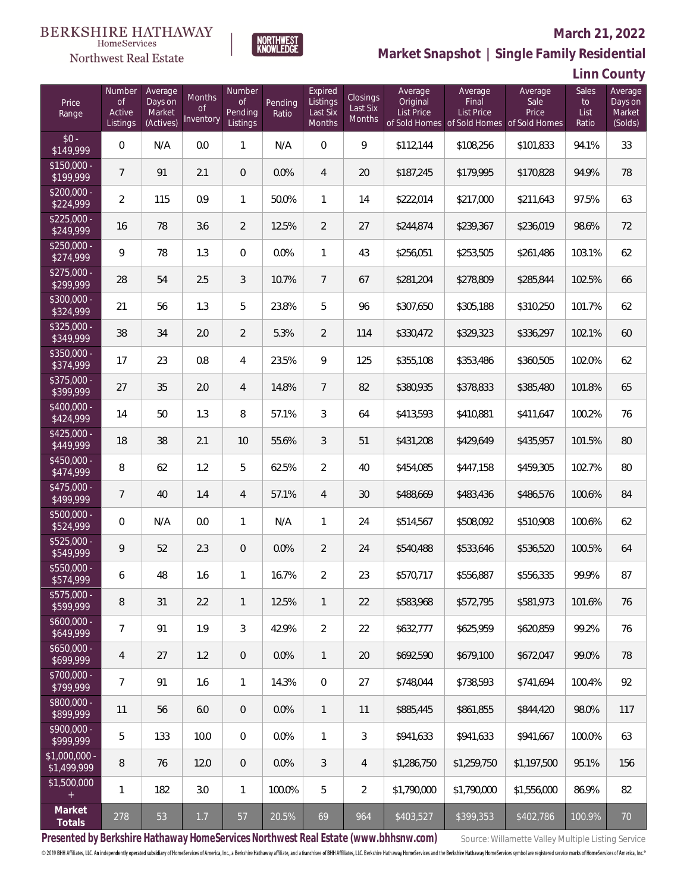

#### **March 21, 2022**

**Market Snapshot | Single Family Residential**

### **Linn County**

| Price<br>Range               | Number<br><b>of</b><br>Active<br>Listings | Average<br>Days on<br>Market<br>(Actives) | Months<br>0f<br>Inventory | Number<br><b>of</b><br>Pending<br>Listings | Pending<br>Ratio | Expired<br>Listings<br>Last Six<br>Months | Closings<br>Last Six<br><b>Months</b> | Average<br>Original<br>List Price | Average<br>Final<br>List Price<br>of Sold Homes of Sold Homes of Sold Homes | Average<br>Sale<br>Price | Sales<br>to<br>List<br>Ratio | Average<br>Days on<br>Market<br>(Solds) |
|------------------------------|-------------------------------------------|-------------------------------------------|---------------------------|--------------------------------------------|------------------|-------------------------------------------|---------------------------------------|-----------------------------------|-----------------------------------------------------------------------------|--------------------------|------------------------------|-----------------------------------------|
| $$0 -$<br>\$149,999          | $\overline{0}$                            | N/A                                       | 0.0                       | $\mathbf{1}$                               | N/A              | $\overline{0}$                            | 9                                     | \$112,144                         | \$108,256                                                                   | \$101,833                | 94.1%                        | 33                                      |
| $$150,000 -$<br>\$199,999    | $\overline{7}$                            | 91                                        | 2.1                       | $\overline{0}$                             | 0.0%             | $\overline{4}$                            | 20                                    | \$187,245                         | \$179,995                                                                   | \$170,828                | 94.9%                        | 78                                      |
| $$200,000 -$<br>\$224,999    | $\overline{2}$                            | 115                                       | 0.9                       | $\mathbf{1}$                               | 50.0%            | $\mathbf{1}$                              | 14                                    | \$222,014                         | \$217,000                                                                   | \$211,643                | 97.5%                        | 63                                      |
| $$225,000 -$<br>\$249,999    | 16                                        | 78                                        | 3.6                       | $\overline{2}$                             | 12.5%            | $\overline{2}$                            | 27                                    | \$244,874                         | \$239,367                                                                   | \$236,019                | 98.6%                        | 72                                      |
| $$250,000 -$<br>\$274,999    | 9                                         | 78                                        | 1.3                       | $\overline{0}$                             | 0.0%             | $\mathbf{1}$                              | 43                                    | \$256,051                         | \$253,505                                                                   | \$261,486                | 103.1%                       | 62                                      |
| $$275,000 -$<br>\$299,999    | 28                                        | 54                                        | 2.5                       | 3                                          | 10.7%            | $\overline{7}$                            | 67                                    | \$281,204                         | \$278,809                                                                   | \$285,844                | 102.5%                       | 66                                      |
| $$300,000 -$<br>\$324,999    | 21                                        | 56                                        | 1.3                       | 5                                          | 23.8%            | 5                                         | 96                                    | \$307,650                         | \$305,188                                                                   | \$310,250                | 101.7%                       | 62                                      |
| $$325,000 -$<br>\$349,999    | 38                                        | 34                                        | 2.0                       | $\overline{2}$                             | 5.3%             | $\overline{2}$                            | 114                                   | \$330,472                         | \$329,323                                                                   | \$336,297                | 102.1%                       | 60                                      |
| $$350,000 -$<br>\$374,999    | 17                                        | 23                                        | 0.8                       | 4                                          | 23.5%            | 9                                         | 125                                   | \$355,108                         | \$353,486                                                                   | \$360,505                | 102.0%                       | 62                                      |
| $$375,000 -$<br>\$399,999    | 27                                        | 35                                        | 2.0                       | $\overline{4}$                             | 14.8%            | $\overline{7}$                            | 82                                    | \$380,935                         | \$378,833                                                                   | \$385,480                | 101.8%                       | 65                                      |
| $$400,000 -$<br>\$424,999    | 14                                        | 50                                        | 1.3                       | 8                                          | 57.1%            | 3                                         | 64                                    | \$413,593                         | \$410,881                                                                   | \$411,647                | 100.2%                       | 76                                      |
| $$425,000 -$<br>\$449,999    | 18                                        | 38                                        | 2.1                       | 10                                         | 55.6%            | 3                                         | 51                                    | \$431,208                         | \$429,649                                                                   | \$435,957                | 101.5%                       | 80                                      |
| $$450,000 -$<br>\$474,999    | 8                                         | 62                                        | 1.2                       | 5                                          | 62.5%            | $\overline{2}$                            | 40                                    | \$454,085                         | \$447,158                                                                   | \$459,305                | 102.7%                       | 80                                      |
| $$475,000 -$<br>\$499,999    | $\overline{7}$                            | 40                                        | 1.4                       | $\overline{4}$                             | 57.1%            | $\overline{4}$                            | 30                                    | \$488,669                         | \$483,436                                                                   | \$486,576                | 100.6%                       | 84                                      |
| $$500,000 -$<br>\$524,999    | $\overline{0}$                            | N/A                                       | 0.0                       | $\mathbf{1}$                               | N/A              | 1                                         | 24                                    | \$514,567                         | \$508,092                                                                   | \$510,908                | 100.6%                       | 62                                      |
| $$525,000 -$<br>\$549,999    | 9                                         | 52                                        | 2.3                       | $\overline{0}$                             | 0.0%             | $\overline{2}$                            | 24                                    | \$540,488                         | \$533,646                                                                   | \$536,520                | 100.5%                       | 64                                      |
| \$550,000 -<br>\$574,999     | 6                                         | 48                                        | 1.6                       | $\mathbf{1}$                               | 16.7%            | $\overline{2}$                            | 23                                    | \$570,717                         | \$556,887                                                                   | \$556,335                | 99.9%                        | 87                                      |
| \$575,000 -<br>\$599,999     | 8                                         | 31                                        | 2.2                       | $\mathbf{1}$                               | 12.5%            | 1                                         | 22                                    | \$583,968                         | \$572,795                                                                   | \$581,973                | 101.6%                       | 76                                      |
| $$600,000 -$<br>\$649,999    | $\overline{7}$                            | 91                                        | 1.9                       | 3                                          | 42.9%            | $\overline{2}$                            | 22                                    | \$632,777                         | \$625,959                                                                   | \$620,859                | 99.2%                        | 76                                      |
| $$650,000 -$<br>\$699,999    | 4                                         | 27                                        | 1.2                       | $\overline{0}$                             | 0.0%             | $\mathbf{1}$                              | 20                                    | \$692,590                         | \$679,100                                                                   | \$672,047                | 99.0%                        | 78                                      |
| \$700,000 -<br>\$799,999     | $\overline{7}$                            | 91                                        | 1.6                       | $\mathbf{1}$                               | 14.3%            | $\mathbf 0$                               | 27                                    | \$748,044                         | \$738,593                                                                   | \$741,694                | 100.4%                       | 92                                      |
| \$800,000 -<br>\$899,999     | 11                                        | 56                                        | 6.0                       | $\overline{0}$                             | 0.0%             | $\mathbf{1}$                              | 11                                    | \$885,445                         | \$861,855                                                                   | \$844,420                | 98.0%                        | 117                                     |
| \$900,000 -<br>\$999,999     | 5                                         | 133                                       | 10.0                      | $\overline{0}$                             | 0.0%             | $\mathbf{1}$                              | 3                                     | \$941,633                         | \$941,633                                                                   | \$941,667                | 100.0%                       | 63                                      |
| \$1,000,000 -<br>\$1,499,999 | 8                                         | 76                                        | 12.0                      | $\overline{0}$                             | 0.0%             | 3                                         | 4                                     | \$1,286,750                       | \$1,259,750                                                                 | \$1,197,500              | 95.1%                        | 156                                     |
| \$1,500,000<br>$+$           | 1                                         | 182                                       | 3.0                       | $\mathbf{1}$                               | 100.0%           | 5                                         | $\overline{2}$                        | \$1,790,000                       | \$1,790,000                                                                 | \$1,556,000              | 86.9%                        | 82                                      |
| Market<br>Totals             | 278                                       | 53                                        | $1.7\,$                   | 57                                         | 20.5%            | 69                                        | 964                                   | \$403,527                         | \$399,353                                                                   | \$402,786                | 100.9%                       | $70\,$                                  |

NORTHWEST<br>KNOWLFDGF

Presented by Berkshire Hathaway HomeServices Northwest Real Estate (www.bhhsnw.com) source: Willamette Valley Multiple Listing Service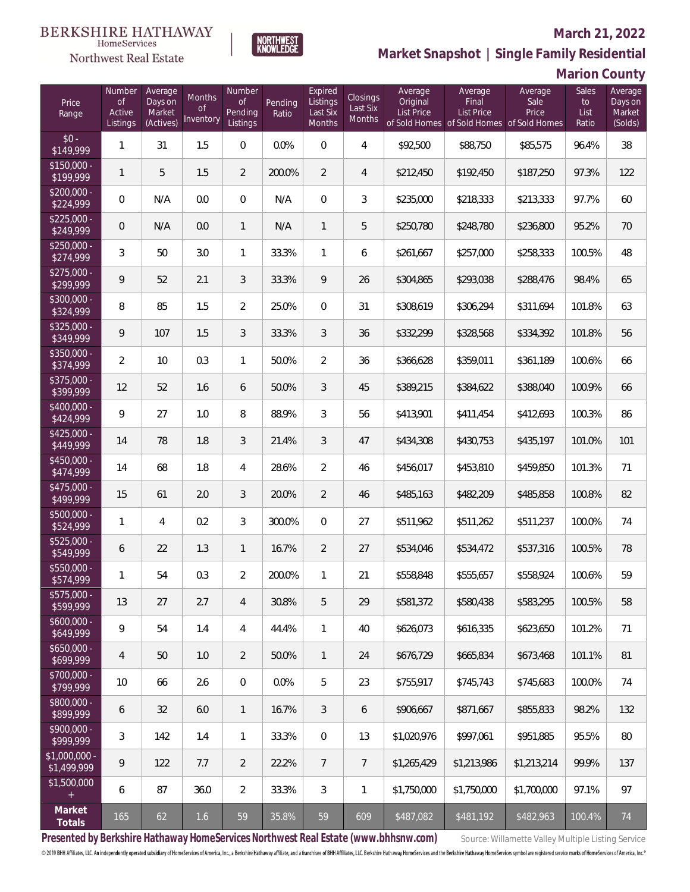#### Northwest Real Estate

#### **March 21, 2022**

**Market Snapshot | Single Family Residential**

### **Marion County**

| Price<br>Range                | Number<br><b>of</b><br>Active<br>Listings | Average<br>Days on<br>Market<br>(Actives) | Months<br><b>of</b><br>Inventory | Number<br>$\mathsf{of}$<br>Pending<br>Listings | Pending<br>Ratio | Expired<br>Listings<br>Last Six<br>Months | Closings<br>Last Six<br>Months | Average<br>Original<br>List Price | Average<br>Final<br>List Price<br>of Sold Homes of Sold Homes of Sold Homes | Average<br>Sale<br>Price | Sales<br>to<br>List<br>Ratio | Average<br>Days on<br>Market<br>(Solds) |
|-------------------------------|-------------------------------------------|-------------------------------------------|----------------------------------|------------------------------------------------|------------------|-------------------------------------------|--------------------------------|-----------------------------------|-----------------------------------------------------------------------------|--------------------------|------------------------------|-----------------------------------------|
| $$0 -$<br>\$149,999           | 1                                         | 31                                        | 1.5                              | $\overline{0}$                                 | 0.0%             | $\overline{0}$                            | $\overline{4}$                 | \$92,500                          | \$88,750                                                                    | \$85,575                 | 96.4%                        | 38                                      |
| $$150,000 -$<br>\$199,999     | $\mathbf{1}$                              | 5                                         | 1.5                              | $\overline{2}$                                 | 200.0%           | $\overline{2}$                            | 4                              | \$212,450                         | \$192,450                                                                   | \$187,250                | 97.3%                        | 122                                     |
| $$200,000 -$<br>\$224,999     | $\overline{0}$                            | N/A                                       | 0.0                              | $\overline{0}$                                 | N/A              | $\overline{0}$                            | 3                              | \$235,000                         | \$218,333                                                                   | \$213,333                | 97.7%                        | 60                                      |
| $$225,000 -$<br>\$249,999     | $\overline{0}$                            | N/A                                       | 0.0                              | $\mathbf{1}$                                   | N/A              | $\mathbf{1}$                              | 5                              | \$250,780                         | \$248,780                                                                   | \$236,800                | 95.2%                        | 70                                      |
| $$250,000 -$<br>\$274,999     | 3                                         | 50                                        | 3.0                              | $\mathbf{1}$                                   | 33.3%            | $\mathbf{1}$                              | 6                              | \$261,667                         | \$257,000                                                                   | \$258,333                | 100.5%                       | 48                                      |
| $$275,000 -$<br>\$299,999     | 9                                         | 52                                        | 2.1                              | 3                                              | 33.3%            | 9                                         | 26                             | \$304,865                         | \$293,038                                                                   | \$288,476                | 98.4%                        | 65                                      |
| $$300,000 -$<br>\$324,999     | 8                                         | 85                                        | 1.5                              | $\overline{2}$                                 | 25.0%            | $\overline{0}$                            | 31                             | \$308,619                         | \$306,294                                                                   | \$311,694                | 101.8%                       | 63                                      |
| $$325,000 -$<br>\$349,999     | 9                                         | 107                                       | 1.5                              | 3                                              | 33.3%            | 3                                         | 36                             | \$332,299                         | \$328,568                                                                   | \$334,392                | 101.8%                       | 56                                      |
| $$350,000 -$<br>\$374,999     | $\overline{2}$                            | 10                                        | 0.3                              | 1                                              | 50.0%            | $\overline{2}$                            | 36                             | \$366,628                         | \$359,011                                                                   | \$361,189                | 100.6%                       | 66                                      |
| $$375,000 -$<br>\$399,999     | 12                                        | 52                                        | 1.6                              | 6                                              | 50.0%            | 3                                         | 45                             | \$389,215                         | \$384,622                                                                   | \$388,040                | 100.9%                       | 66                                      |
| $$400,000 -$<br>\$424,999     | 9                                         | 27                                        | 1.0                              | 8                                              | 88.9%            | 3                                         | 56                             | \$413,901                         | \$411,454                                                                   | \$412,693                | 100.3%                       | 86                                      |
| $$425,000 -$<br>\$449,999     | 14                                        | 78                                        | 1.8                              | 3                                              | 21.4%            | 3                                         | 47                             | \$434,308                         | \$430,753                                                                   | \$435,197                | 101.0%                       | 101                                     |
| $$450,000 -$<br>\$474,999     | 14                                        | 68                                        | 1.8                              | 4                                              | 28.6%            | $\overline{2}$                            | 46                             | \$456,017                         | \$453,810                                                                   | \$459,850                | 101.3%                       | 71                                      |
| $$475,000 -$<br>\$499,999     | 15                                        | 61                                        | 2.0                              | 3                                              | 20.0%            | $\overline{2}$                            | 46                             | \$485,163                         | \$482,209                                                                   | \$485,858                | 100.8%                       | 82                                      |
| $$500,000 -$<br>\$524,999     | 1                                         | 4                                         | 0.2                              | 3                                              | 300.0%           | $\overline{0}$                            | 27                             | \$511,962                         | \$511,262                                                                   | \$511,237                | 100.0%                       | 74                                      |
| \$525,000 -<br>\$549,999      | 6                                         | 22                                        | 1.3                              | $\mathbf{1}$                                   | 16.7%            | $\overline{2}$                            | 27                             | \$534,046                         | \$534,472                                                                   | \$537,316                | 100.5%                       | 78                                      |
| \$550,000 -<br>\$574,999      | 1                                         | 54                                        | 0.3                              | $\overline{2}$                                 | 200.0%           | 1                                         | 21                             | \$558,848                         | \$555,657                                                                   | \$558,924                | 100.6%                       | 59                                      |
| \$575,000 -<br>\$599,999      | 13                                        | 27                                        | 2.7                              | 4                                              | 30.8%            | 5                                         | 29                             | \$581,372                         | \$580,438                                                                   | \$583,295                | 100.5%                       | 58                                      |
| $$600,000 -$<br>\$649,999     | 9                                         | 54                                        | 1.4                              | $\overline{4}$                                 | 44.4%            | 1                                         | 40                             | \$626,073                         | \$616,335                                                                   | \$623,650                | 101.2%                       | 71                                      |
| $$650,000 -$<br>\$699,999     | 4                                         | 50                                        | 1.0                              | $\overline{2}$                                 | 50.0%            | 1                                         | 24                             | \$676,729                         | \$665,834                                                                   | \$673,468                | 101.1%                       | 81                                      |
| \$700,000 -<br>\$799,999      | 10                                        | 66                                        | 2.6                              | $\mathbf 0$                                    | 0.0%             | 5                                         | 23                             | \$755,917                         | \$745,743                                                                   | \$745,683                | 100.0%                       | 74                                      |
| \$800,000 -<br>\$899,999      | 6                                         | 32                                        | $6.0\,$                          | $\mathbf{1}$                                   | 16.7%            | 3                                         | 6                              | \$906,667                         | \$871,667                                                                   | \$855,833                | 98.2%                        | 132                                     |
| \$900,000 -<br>\$999,999      | 3                                         | 142                                       | 1.4                              | $\mathbf{1}$                                   | 33.3%            | $\mathbf 0$                               | 13                             | \$1,020,976                       | \$997,061                                                                   | \$951,885                | 95.5%                        | 80                                      |
| $$1,000,000$ -<br>\$1,499,999 | 9                                         | 122                                       | 7.7                              | $\overline{2}$                                 | 22.2%            | $\overline{7}$                            | $\overline{7}$                 | \$1,265,429                       | \$1,213,986                                                                 | \$1,213,214              | 99.9%                        | 137                                     |
| \$1,500,000<br>$+$            | 6                                         | 87                                        | 36.0                             | $\overline{2}$                                 | 33.3%            | 3                                         | 1                              | \$1,750,000                       | \$1,750,000                                                                 | \$1,700,000              | 97.1%                        | 97                                      |
| Market<br>Totals              | 165                                       | 62                                        | $1.6\,$                          | 59                                             | 35.8%            | 59                                        | 609                            | \$487,082                         | \$481,192                                                                   | \$482,963                | 100.4%                       | 74                                      |

NORTHWEST<br>KNOWLFDGF

Presented by Berkshire Hathaway HomeServices Northwest Real Estate (www.bhhsnw.com) source: Willamette Valley Multiple Listing Service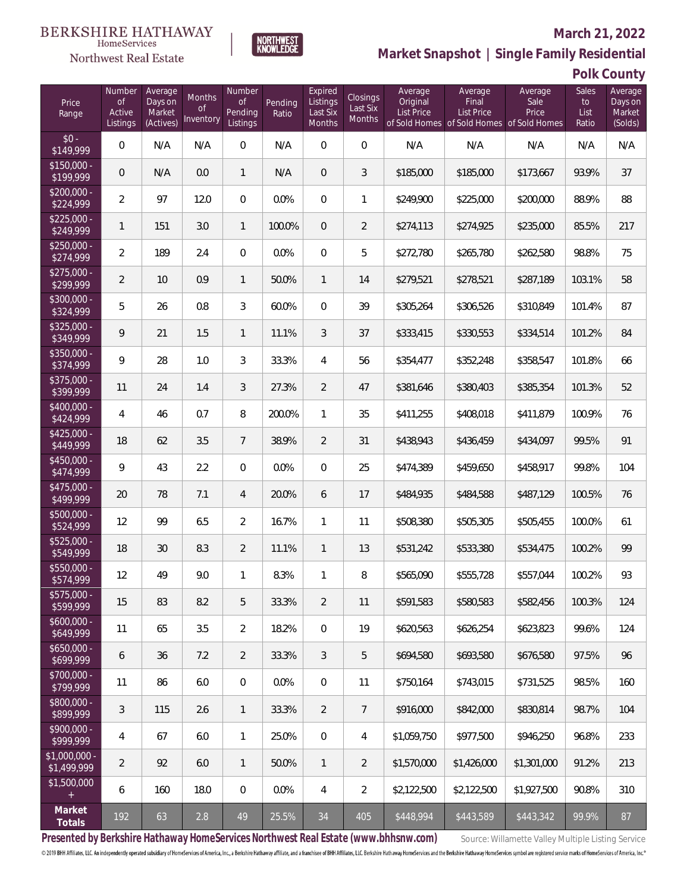

#### **March 21, 2022**

**Market Snapshot | Single Family Residential**

### **Polk County**

| Price<br>Range                       | Number<br><b>of</b><br>Active<br>Listings | Average<br>Days on<br>Market<br>(Actives) | <b>Months</b><br><b>of</b><br>Inventory | Number<br><b>of</b><br>Pending<br>Listings | Pending<br>Ratio | Expired<br>Listings<br>Last Six<br>Months | Closings<br>Last Six<br>Months | Average<br>Original<br>List Price | Average<br>Final<br>List Price<br>of Sold Homes of Sold Homes of Sold Homes | Average<br>Sale<br>Price | Sales<br>to<br>List<br>Ratio | Average<br>Days on<br>Market<br>(Solds) |
|--------------------------------------|-------------------------------------------|-------------------------------------------|-----------------------------------------|--------------------------------------------|------------------|-------------------------------------------|--------------------------------|-----------------------------------|-----------------------------------------------------------------------------|--------------------------|------------------------------|-----------------------------------------|
| $$0 -$<br>\$149,999                  | $\overline{0}$                            | N/A                                       | N/A                                     | $\overline{0}$                             | N/A              | 0                                         | $\overline{0}$                 | N/A                               | N/A                                                                         | N/A                      | N/A                          | N/A                                     |
| $$150,000 -$<br>\$199,999            | $\overline{0}$                            | N/A                                       | 0.0                                     | $\mathbf{1}$                               | N/A              | $\overline{0}$                            | 3                              | \$185,000                         | \$185,000                                                                   | \$173,667                | 93.9%                        | 37                                      |
| \$200,000 -<br>\$224,999             | $\overline{2}$                            | 97                                        | 12.0                                    | $\overline{0}$                             | 0.0%             | $\overline{0}$                            | 1                              | \$249,900                         | \$225,000                                                                   | \$200,000                | 88.9%                        | 88                                      |
| $$225,000 -$<br>\$249,999            | $\mathbf{1}$                              | 151                                       | 3.0                                     | $\mathbf{1}$                               | 100.0%           | $\overline{0}$                            | $\overline{2}$                 | \$274,113                         | \$274,925                                                                   | \$235,000                | 85.5%                        | 217                                     |
| $$250,000 -$<br>\$274,999            | $\overline{2}$                            | 189                                       | 2.4                                     | $\overline{0}$                             | 0.0%             | $\overline{0}$                            | 5                              | \$272,780                         | \$265,780                                                                   | \$262,580                | 98.8%                        | 75                                      |
| $$275,000 -$<br>\$299,999            | $\overline{2}$                            | 10                                        | 0.9                                     | $\mathbf{1}$                               | 50.0%            | $\mathbf{1}$                              | 14                             | \$279,521                         | \$278,521                                                                   | \$287,189                | 103.1%                       | 58                                      |
| $$300,000 -$<br>\$324,999            | 5                                         | 26                                        | 0.8                                     | 3                                          | 60.0%            | $\overline{0}$                            | 39                             | \$305,264                         | \$306,526                                                                   | \$310,849                | 101.4%                       | 87                                      |
| $$325,000 -$<br>\$349,999            | 9                                         | 21                                        | 1.5                                     | $\mathbf{1}$                               | 11.1%            | 3                                         | 37                             | \$333,415                         | \$330,553                                                                   | \$334,514                | 101.2%                       | 84                                      |
| $$350,000 -$<br>\$374,999            | 9                                         | 28                                        | 1.0                                     | 3                                          | 33.3%            | $\overline{4}$                            | 56                             | \$354,477                         | \$352,248                                                                   | \$358,547                | 101.8%                       | 66                                      |
| $$375,000 -$<br>\$399,999            | 11                                        | 24                                        | 1.4                                     | 3                                          | 27.3%            | $\overline{2}$                            | 47                             | \$381,646                         | \$380,403                                                                   | \$385,354                | 101.3%                       | 52                                      |
| $$400,000 -$<br>\$424,999            | 4                                         | 46                                        | 0.7                                     | 8                                          | 200.0%           | $\mathbf{1}$                              | 35                             | \$411,255                         | \$408,018                                                                   | \$411,879                | 100.9%                       | 76                                      |
| $$425,000 -$<br>\$449,999            | 18                                        | 62                                        | 3.5                                     | $\overline{7}$                             | 38.9%            | $\overline{2}$                            | 31                             | \$438,943                         | \$436,459                                                                   | \$434,097                | 99.5%                        | 91                                      |
| \$450,000 -<br>\$474,999             | 9                                         | 43                                        | 2.2                                     | $\overline{0}$                             | 0.0%             | 0                                         | 25                             | \$474,389                         | \$459,650                                                                   | \$458,917                | 99.8%                        | 104                                     |
| $$475,000 -$<br>\$499,999            | 20                                        | 78                                        | 7.1                                     | 4                                          | 20.0%            | 6                                         | 17                             | \$484,935                         | \$484,588                                                                   | \$487,129                | 100.5%                       | 76                                      |
| $$500,000 -$<br>\$524,999            | 12                                        | 99                                        | 6.5                                     | $\overline{2}$                             | 16.7%            | 1                                         | 11                             | \$508,380                         | \$505,305                                                                   | \$505,455                | 100.0%                       | 61                                      |
| $$525,000 -$<br>\$549,999            | 18                                        | 30                                        | 8.3                                     | $\overline{2}$                             | 11.1%            | 1                                         | 13                             | \$531,242                         | \$533,380                                                                   | \$534,475                | 100.2%                       | 99                                      |
| \$550,000 -<br>\$574,999             | 12                                        | 49                                        | 9.0                                     | 1                                          | 8.3%             | 1                                         | 8                              | \$565,090                         | \$555,728                                                                   | \$557,044                | 100.2%                       | 93                                      |
| $\overline{$575,000}$ -<br>\$599,999 | 15                                        | 83                                        | 8.2                                     | 5                                          | 33.3%            | 2                                         | 11                             | \$591,583                         | \$580,583                                                                   | \$582,456                | 100.3%                       | 124                                     |
| $$600,000 -$<br>\$649,999            | 11                                        | 65                                        | 3.5                                     | $\overline{2}$                             | 18.2%            | $\mathbf 0$                               | 19                             | \$620,563                         | \$626,254                                                                   | \$623,823                | 99.6%                        | 124                                     |
| $$650,000 -$<br>\$699,999            | 6                                         | 36                                        | 7.2                                     | $\overline{2}$                             | 33.3%            | 3                                         | 5                              | \$694,580                         | \$693,580                                                                   | \$676,580                | 97.5%                        | 96                                      |
| \$700,000 -<br>\$799,999             | 11                                        | 86                                        | 6.0                                     | $\mathbf 0$                                | 0.0%             | $\mathbf 0$                               | 11                             | \$750,164                         | \$743,015                                                                   | \$731,525                | 98.5%                        | 160                                     |
| \$800,000 -<br>\$899,999             | 3                                         | 115                                       | 2.6                                     | 1                                          | 33.3%            | 2                                         | $\overline{7}$                 | \$916,000                         | \$842,000                                                                   | \$830,814                | 98.7%                        | 104                                     |
| \$900,000 -<br>\$999,999             | 4                                         | 67                                        | 6.0                                     | 1                                          | 25.0%            | $\mathbf 0$                               | 4                              | \$1,059,750                       | \$977,500                                                                   | \$946,250                | 96.8%                        | 233                                     |
| \$1,000,000 -<br>\$1,499,999         | $\overline{2}$                            | 92                                        | $6.0\,$                                 | 1                                          | 50.0%            | 1                                         | $\overline{2}$                 | \$1,570,000                       | \$1,426,000                                                                 | \$1,301,000              | 91.2%                        | 213                                     |
| \$1,500,000<br>$+$                   | 6                                         | 160                                       | 18.0                                    | $\mathbf 0$                                | 0.0%             | 4                                         | $\overline{2}$                 | \$2,122,500                       | \$2,122,500                                                                 | \$1,927,500              | 90.8%                        | 310                                     |
| Market<br>Totals                     | 192                                       | 63                                        | $2.8\,$                                 | 49                                         | 25.5%            | 34                                        | 405                            | \$448,994                         | \$443,589                                                                   | \$443,342                | 99.9%                        | 87                                      |

NORTHWEST<br>KNOWLFDGF

Presented by Berkshire Hathaway HomeServices Northwest Real Estate (www.bhhsnw.com) source: Willamette Valley Multiple Listing Service